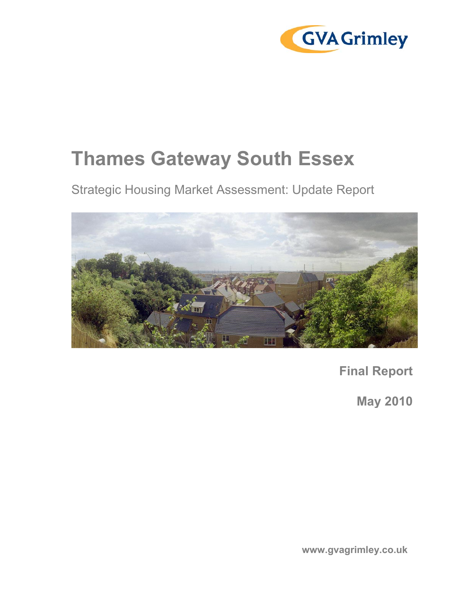

# Thames Gateway South Essex

Strategic Housing Market Assessment: Update Report



Final Report

May 2010

www.gvagrimley.co.uk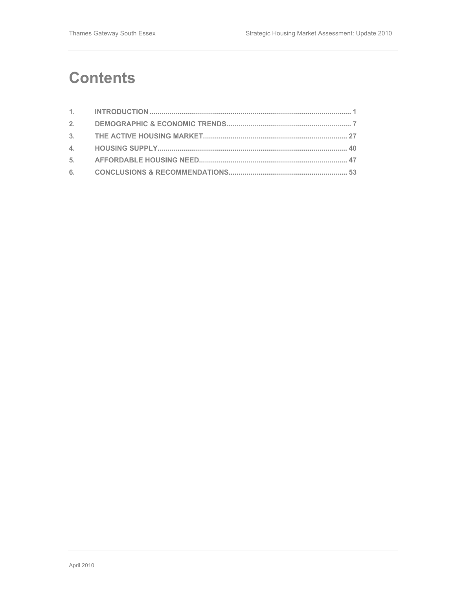## **Contents**

| 2. |  |
|----|--|
|    |  |
|    |  |
|    |  |
|    |  |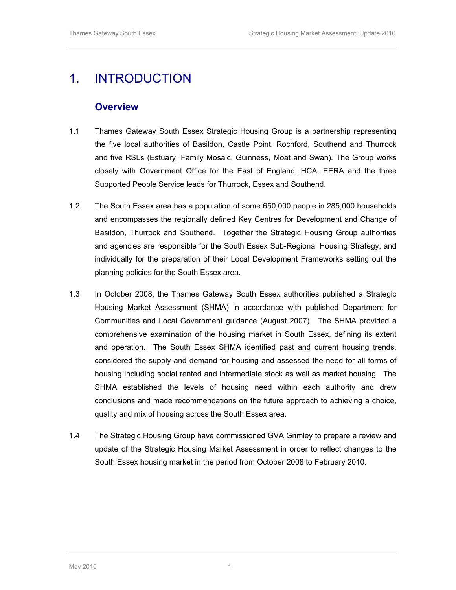## 1. INTRODUCTION

#### **Overview**

- 1.1 Thames Gateway South Essex Strategic Housing Group is a partnership representing the five local authorities of Basildon, Castle Point, Rochford, Southend and Thurrock and five RSLs (Estuary, Family Mosaic, Guinness, Moat and Swan). The Group works closely with Government Office for the East of England, HCA, EERA and the three Supported People Service leads for Thurrock, Essex and Southend.
- 1.2 The South Essex area has a population of some 650,000 people in 285,000 households and encompasses the regionally defined Key Centres for Development and Change of Basildon, Thurrock and Southend. Together the Strategic Housing Group authorities and agencies are responsible for the South Essex Sub-Regional Housing Strategy; and individually for the preparation of their Local Development Frameworks setting out the planning policies for the South Essex area.
- 1.3 In October 2008, the Thames Gateway South Essex authorities published a Strategic Housing Market Assessment (SHMA) in accordance with published Department for Communities and Local Government guidance (August 2007). The SHMA provided a comprehensive examination of the housing market in South Essex, defining its extent and operation. The South Essex SHMA identified past and current housing trends, considered the supply and demand for housing and assessed the need for all forms of housing including social rented and intermediate stock as well as market housing. The SHMA established the levels of housing need within each authority and drew conclusions and made recommendations on the future approach to achieving a choice, quality and mix of housing across the South Essex area.
- 1.4 The Strategic Housing Group have commissioned GVA Grimley to prepare a review and update of the Strategic Housing Market Assessment in order to reflect changes to the South Essex housing market in the period from October 2008 to February 2010.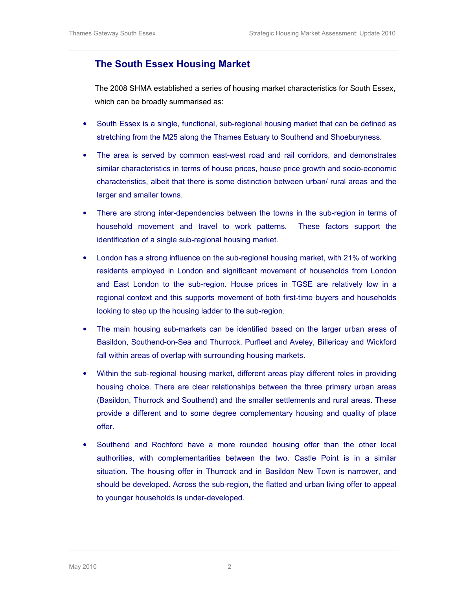### The South Essex Housing Market

The 2008 SHMA established a series of housing market characteristics for South Essex, which can be broadly summarised as:

- South Essex is a single, functional, sub-regional housing market that can be defined as stretching from the M25 along the Thames Estuary to Southend and Shoeburyness.
- The area is served by common east-west road and rail corridors, and demonstrates similar characteristics in terms of house prices, house price growth and socio-economic characteristics, albeit that there is some distinction between urban/ rural areas and the larger and smaller towns.
- There are strong inter-dependencies between the towns in the sub-region in terms of household movement and travel to work patterns. These factors support the identification of a single sub-regional housing market.
- London has a strong influence on the sub-regional housing market, with 21% of working residents employed in London and significant movement of households from London and East London to the sub-region. House prices in TGSE are relatively low in a regional context and this supports movement of both first-time buyers and households looking to step up the housing ladder to the sub-region.
- The main housing sub-markets can be identified based on the larger urban areas of Basildon, Southend-on-Sea and Thurrock. Purfleet and Aveley, Billericay and Wickford fall within areas of overlap with surrounding housing markets.
- Within the sub-regional housing market, different areas play different roles in providing housing choice. There are clear relationships between the three primary urban areas (Basildon, Thurrock and Southend) and the smaller settlements and rural areas. These provide a different and to some degree complementary housing and quality of place offer.
- Southend and Rochford have a more rounded housing offer than the other local authorities, with complementarities between the two. Castle Point is in a similar situation. The housing offer in Thurrock and in Basildon New Town is narrower, and should be developed. Across the sub-region, the flatted and urban living offer to appeal to younger households is under-developed.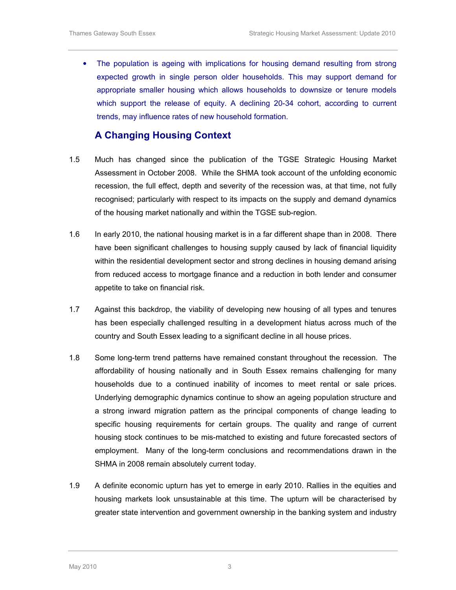The population is ageing with implications for housing demand resulting from strong expected growth in single person older households. This may support demand for appropriate smaller housing which allows households to downsize or tenure models which support the release of equity. A declining 20-34 cohort, according to current trends, may influence rates of new household formation.

### A Changing Housing Context

- 1.5 Much has changed since the publication of the TGSE Strategic Housing Market Assessment in October 2008. While the SHMA took account of the unfolding economic recession, the full effect, depth and severity of the recession was, at that time, not fully recognised; particularly with respect to its impacts on the supply and demand dynamics of the housing market nationally and within the TGSE sub-region.
- 1.6 In early 2010, the national housing market is in a far different shape than in 2008. There have been significant challenges to housing supply caused by lack of financial liquidity within the residential development sector and strong declines in housing demand arising from reduced access to mortgage finance and a reduction in both lender and consumer appetite to take on financial risk.
- 1.7 Against this backdrop, the viability of developing new housing of all types and tenures has been especially challenged resulting in a development hiatus across much of the country and South Essex leading to a significant decline in all house prices.
- 1.8 Some long-term trend patterns have remained constant throughout the recession. The affordability of housing nationally and in South Essex remains challenging for many households due to a continued inability of incomes to meet rental or sale prices. Underlying demographic dynamics continue to show an ageing population structure and a strong inward migration pattern as the principal components of change leading to specific housing requirements for certain groups. The quality and range of current housing stock continues to be mis-matched to existing and future forecasted sectors of employment. Many of the long-term conclusions and recommendations drawn in the SHMA in 2008 remain absolutely current today.
- 1.9 A definite economic upturn has yet to emerge in early 2010. Rallies in the equities and housing markets look unsustainable at this time. The upturn will be characterised by greater state intervention and government ownership in the banking system and industry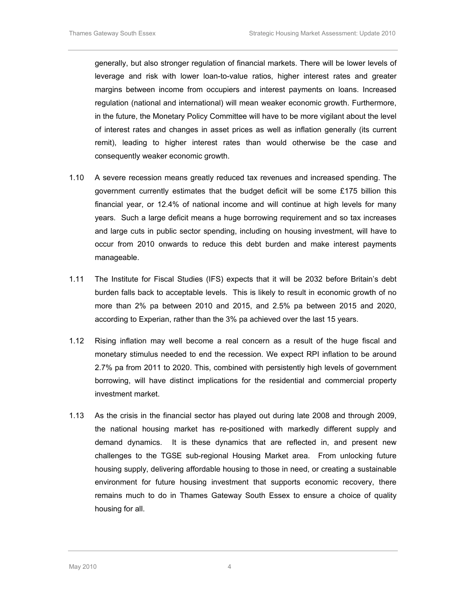generally, but also stronger regulation of financial markets. There will be lower levels of leverage and risk with lower loan-to-value ratios, higher interest rates and greater margins between income from occupiers and interest payments on loans. Increased regulation (national and international) will mean weaker economic growth. Furthermore, in the future, the Monetary Policy Committee will have to be more vigilant about the level of interest rates and changes in asset prices as well as inflation generally (its current remit), leading to higher interest rates than would otherwise be the case and consequently weaker economic growth.

- 1.10 A severe recession means greatly reduced tax revenues and increased spending. The government currently estimates that the budget deficit will be some £175 billion this financial year, or 12.4% of national income and will continue at high levels for many years. Such a large deficit means a huge borrowing requirement and so tax increases and large cuts in public sector spending, including on housing investment, will have to occur from 2010 onwards to reduce this debt burden and make interest payments manageable.
- 1.11 The Institute for Fiscal Studies (IFS) expects that it will be 2032 before Britain's debt burden falls back to acceptable levels. This is likely to result in economic growth of no more than 2% pa between 2010 and 2015, and 2.5% pa between 2015 and 2020, according to Experian, rather than the 3% pa achieved over the last 15 years.
- 1.12 Rising inflation may well become a real concern as a result of the huge fiscal and monetary stimulus needed to end the recession. We expect RPI inflation to be around 2.7% pa from 2011 to 2020. This, combined with persistently high levels of government borrowing, will have distinct implications for the residential and commercial property investment market.
- 1.13 As the crisis in the financial sector has played out during late 2008 and through 2009, the national housing market has re-positioned with markedly different supply and demand dynamics. It is these dynamics that are reflected in, and present new challenges to the TGSE sub-regional Housing Market area. From unlocking future housing supply, delivering affordable housing to those in need, or creating a sustainable environment for future housing investment that supports economic recovery, there remains much to do in Thames Gateway South Essex to ensure a choice of quality housing for all.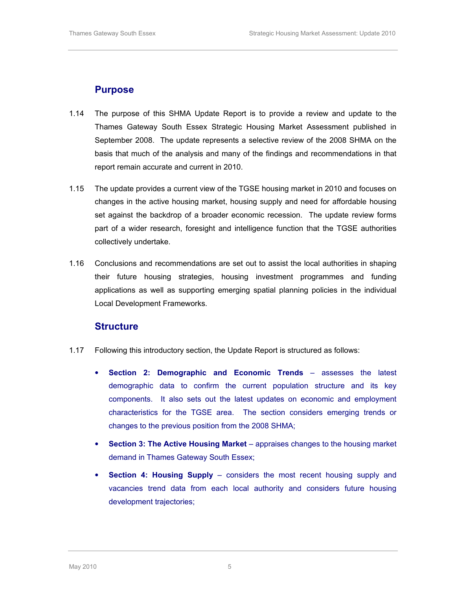#### Purpose

- 1.14 The purpose of this SHMA Update Report is to provide a review and update to the Thames Gateway South Essex Strategic Housing Market Assessment published in September 2008. The update represents a selective review of the 2008 SHMA on the basis that much of the analysis and many of the findings and recommendations in that report remain accurate and current in 2010.
- 1.15 The update provides a current view of the TGSE housing market in 2010 and focuses on changes in the active housing market, housing supply and need for affordable housing set against the backdrop of a broader economic recession. The update review forms part of a wider research, foresight and intelligence function that the TGSE authorities collectively undertake.
- 1.16 Conclusions and recommendations are set out to assist the local authorities in shaping their future housing strategies, housing investment programmes and funding applications as well as supporting emerging spatial planning policies in the individual Local Development Frameworks.

#### **Structure**

- 1.17 Following this introductory section, the Update Report is structured as follows:
	- Section 2: Demographic and Economic Trends assesses the latest demographic data to confirm the current population structure and its key components. It also sets out the latest updates on economic and employment characteristics for the TGSE area. The section considers emerging trends or changes to the previous position from the 2008 SHMA;
	- Section 3: The Active Housing Market appraises changes to the housing market demand in Thames Gateway South Essex;
	- **Section 4: Housing Supply considers the most recent housing supply and** vacancies trend data from each local authority and considers future housing development trajectories;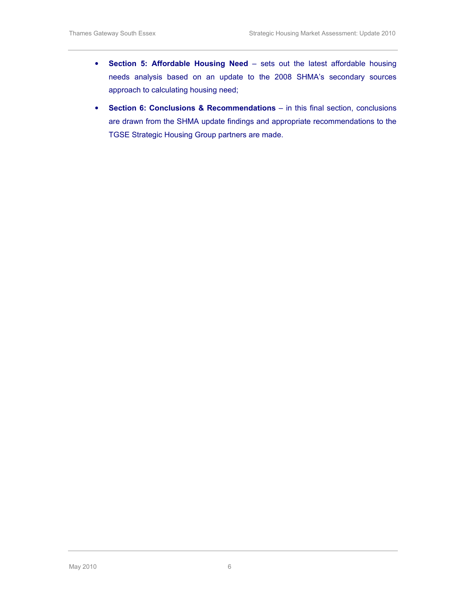- Section 5: Affordable Housing Need sets out the latest affordable housing needs analysis based on an update to the 2008 SHMA's secondary sources approach to calculating housing need;
- Section 6: Conclusions & Recommendations in this final section, conclusions are drawn from the SHMA update findings and appropriate recommendations to the TGSE Strategic Housing Group partners are made.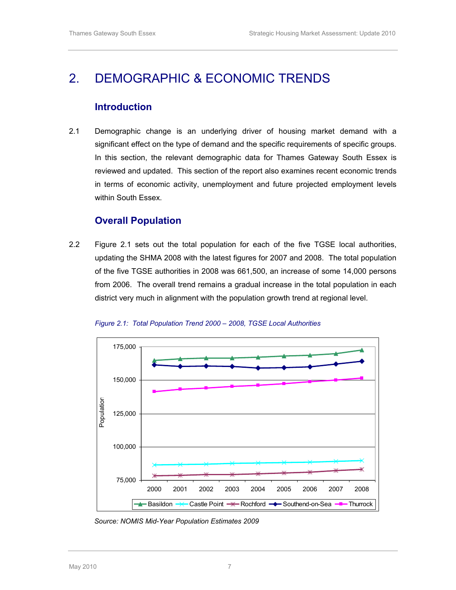## 2. DEMOGRAPHIC & ECONOMIC TRENDS

#### Introduction

2.1 Demographic change is an underlying driver of housing market demand with a significant effect on the type of demand and the specific requirements of specific groups. In this section, the relevant demographic data for Thames Gateway South Essex is reviewed and updated. This section of the report also examines recent economic trends in terms of economic activity, unemployment and future projected employment levels within South Essex.

#### Overall Population

2.2 Figure 2.1 sets out the total population for each of the five TGSE local authorities, updating the SHMA 2008 with the latest figures for 2007 and 2008. The total population of the five TGSE authorities in 2008 was 661,500, an increase of some 14,000 persons from 2006. The overall trend remains a gradual increase in the total population in each district very much in alignment with the population growth trend at regional level.



Figure 2.1: Total Population Trend 2000 – 2008, TGSE Local Authorities

Source: NOMIS Mid-Year Population Estimates 2009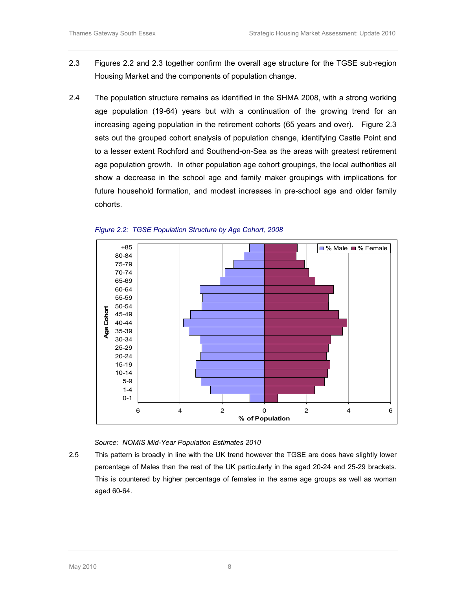- 2.3 Figures 2.2 and 2.3 together confirm the overall age structure for the TGSE sub-region Housing Market and the components of population change.
- 2.4 The population structure remains as identified in the SHMA 2008, with a strong working age population (19-64) years but with a continuation of the growing trend for an increasing ageing population in the retirement cohorts (65 years and over). Figure 2.3 sets out the grouped cohort analysis of population change, identifying Castle Point and to a lesser extent Rochford and Southend-on-Sea as the areas with greatest retirement age population growth. In other population age cohort groupings, the local authorities all show a decrease in the school age and family maker groupings with implications for future household formation, and modest increases in pre-school age and older family cohorts.





Source: NOMIS Mid-Year Population Estimates 2010

2.5 This pattern is broadly in line with the UK trend however the TGSE are does have slightly lower percentage of Males than the rest of the UK particularly in the aged 20-24 and 25-29 brackets. This is countered by higher percentage of females in the same age groups as well as woman aged 60-64.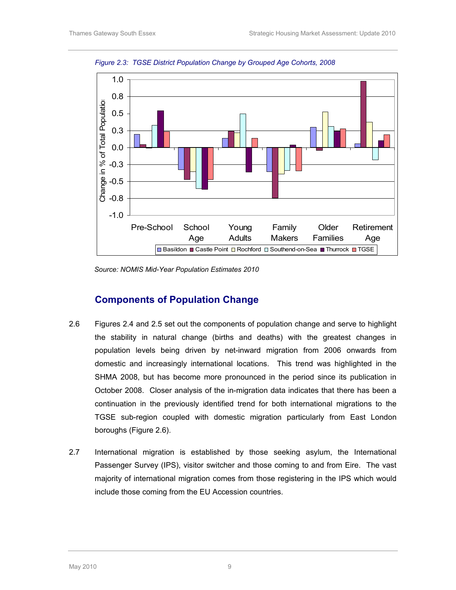

Figure 2.3: TGSE District Population Change by Grouped Age Cohorts, 2008

Source: NOMIS Mid-Year Population Estimates 2010

#### Components of Population Change

- 2.6 Figures 2.4 and 2.5 set out the components of population change and serve to highlight the stability in natural change (births and deaths) with the greatest changes in population levels being driven by net-inward migration from 2006 onwards from domestic and increasingly international locations. This trend was highlighted in the SHMA 2008, but has become more pronounced in the period since its publication in October 2008. Closer analysis of the in-migration data indicates that there has been a continuation in the previously identified trend for both international migrations to the TGSE sub-region coupled with domestic migration particularly from East London boroughs (Figure 2.6).
- 2.7 International migration is established by those seeking asylum, the International Passenger Survey (IPS), visitor switcher and those coming to and from Eire. The vast majority of international migration comes from those registering in the IPS which would include those coming from the EU Accession countries.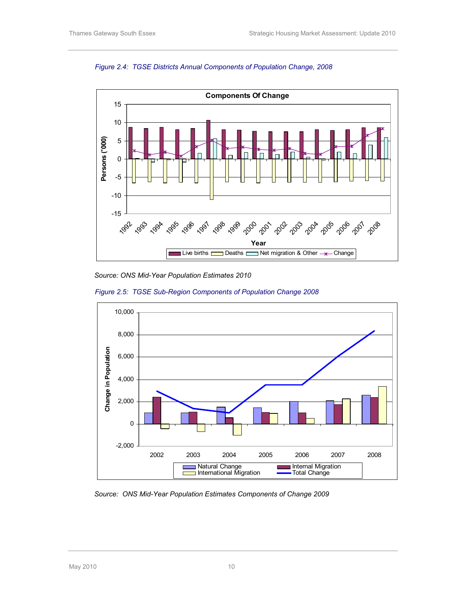



Source: ONS Mid-Year Population Estimates 2010





Source: ONS Mid-Year Population Estimates Components of Change 2009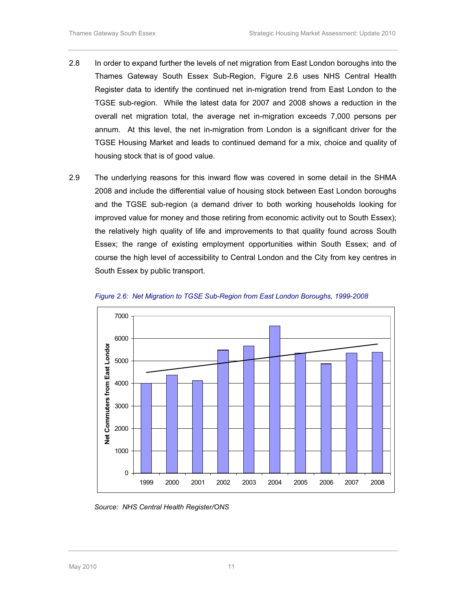- 2.8 In order to expand further the levels of net migration from East London boroughs into the Thames Gateway South Essex Sub-Region, Figure 2.6 uses NHS Central Health Register data to identify the continued net in-migration trend from East London to the TGSE sub-region. While the latest data for 2007 and 2008 shows a reduction in the overall net migration total, the average net in-migration exceeds 7,000 persons per annum. At this level, the net in-migration from London is a significant driver for the TGSE Housing Market and leads to continued demand for a mix, choice and quality of housing stock that is of good value.
- 2.9 The underlying reasons for this inward flow was covered in some detail in the SHMA 2008 and include the differential value of housing stock between East London boroughs and the TGSE sub-region (a demand driver to both working households looking for improved value for money and those retiring from economic activity out to South Essex); the relatively high quality of life and improvements to that quality found across South Essex; the range of existing employment opportunities within South Essex; and of course the high level of accessibility to Central London and the City from key centres in South Essex by public transport.





Source: NHS Central Health Register/ONS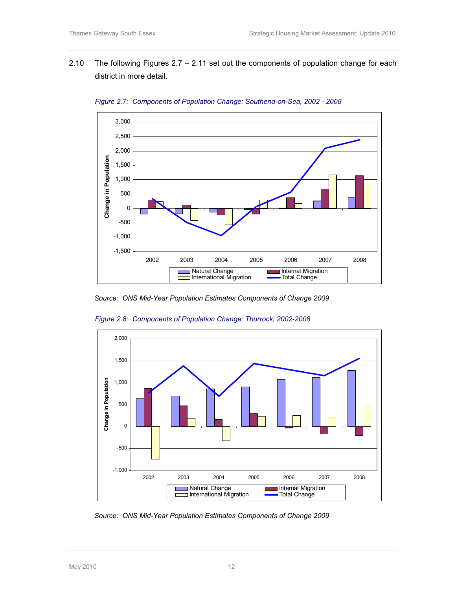2.10 The following Figures 2.7 – 2.11 set out the components of population change for each district in more detail.



Figure 2.7: Components of Population Change: Southend-on-Sea, 2002 - 2008

Source: ONS Mid-Year Population Estimates Components of Change 2009



Figure 2.8: Components of Population Change: Thurrock, 2002-2008

Source: ONS Mid-Year Population Estimates Components of Change 2009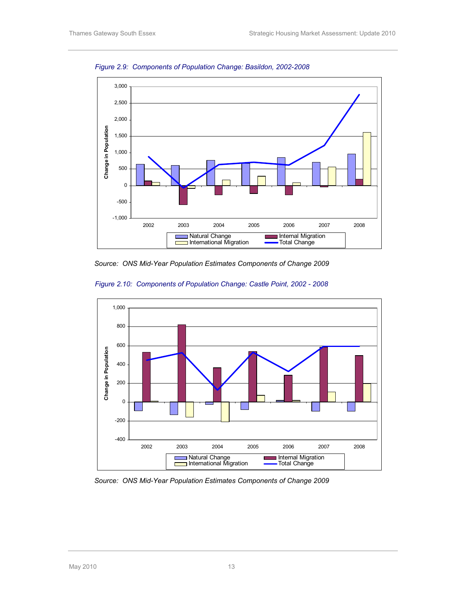

Figure 2.9: Components of Population Change: Basildon, 2002-2008

Source: ONS Mid-Year Population Estimates Components of Change 2009





Source: ONS Mid-Year Population Estimates Components of Change 2009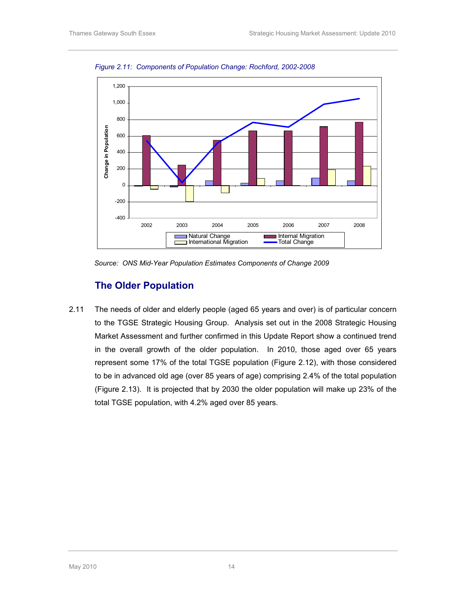

Figure 2.11: Components of Population Change: Rochford, 2002-2008

Source: ONS Mid-Year Population Estimates Components of Change 2009

### The Older Population

2.11 The needs of older and elderly people (aged 65 years and over) is of particular concern to the TGSE Strategic Housing Group. Analysis set out in the 2008 Strategic Housing Market Assessment and further confirmed in this Update Report show a continued trend in the overall growth of the older population. In 2010, those aged over 65 years represent some 17% of the total TGSE population (Figure 2.12), with those considered to be in advanced old age (over 85 years of age) comprising 2.4% of the total population (Figure 2.13). It is projected that by 2030 the older population will make up 23% of the total TGSE population, with 4.2% aged over 85 years.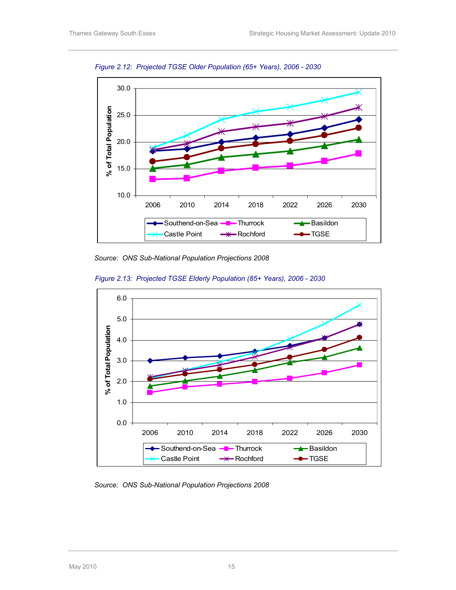

Figure 2.12: Projected TGSE Older Population (65+ Years), 2006 - 2030

Source: ONS Sub-National Population Projections 2008





Source: ONS Sub-National Population Projections 2008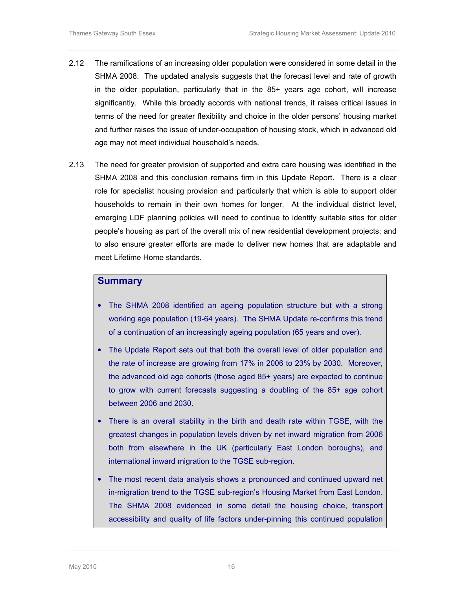- 2.12 The ramifications of an increasing older population were considered in some detail in the SHMA 2008. The updated analysis suggests that the forecast level and rate of growth in the older population, particularly that in the 85+ years age cohort, will increase significantly. While this broadly accords with national trends, it raises critical issues in terms of the need for greater flexibility and choice in the older persons' housing market and further raises the issue of under-occupation of housing stock, which in advanced old age may not meet individual household's needs.
- 2.13 The need for greater provision of supported and extra care housing was identified in the SHMA 2008 and this conclusion remains firm in this Update Report. There is a clear role for specialist housing provision and particularly that which is able to support older households to remain in their own homes for longer. At the individual district level, emerging LDF planning policies will need to continue to identify suitable sites for older people's housing as part of the overall mix of new residential development projects; and to also ensure greater efforts are made to deliver new homes that are adaptable and meet Lifetime Home standards.

#### **Summary**

- The SHMA 2008 identified an ageing population structure but with a strong working age population (19-64 years). The SHMA Update re-confirms this trend of a continuation of an increasingly ageing population (65 years and over).
- The Update Report sets out that both the overall level of older population and the rate of increase are growing from 17% in 2006 to 23% by 2030. Moreover, the advanced old age cohorts (those aged 85+ years) are expected to continue to grow with current forecasts suggesting a doubling of the 85+ age cohort between 2006 and 2030.
- There is an overall stability in the birth and death rate within TGSE, with the greatest changes in population levels driven by net inward migration from 2006 both from elsewhere in the UK (particularly East London boroughs), and international inward migration to the TGSE sub-region.
- The most recent data analysis shows a pronounced and continued upward net in-migration trend to the TGSE sub-region's Housing Market from East London. The SHMA 2008 evidenced in some detail the housing choice, transport accessibility and quality of life factors under-pinning this continued population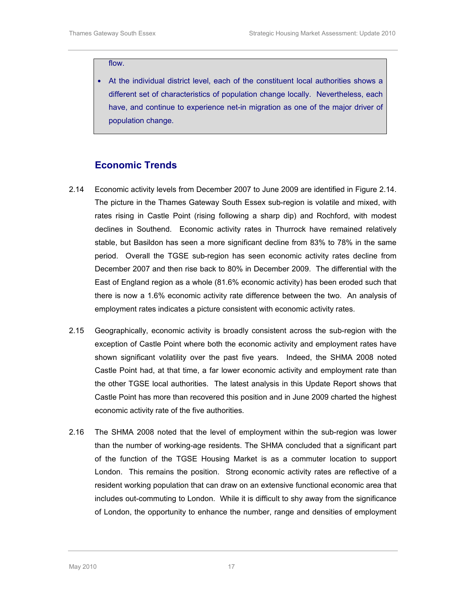#### flow.

• At the individual district level, each of the constituent local authorities shows a different set of characteristics of population change locally. Nevertheless, each have, and continue to experience net-in migration as one of the major driver of population change.

#### Economic Trends

- 2.14 Economic activity levels from December 2007 to June 2009 are identified in Figure 2.14. The picture in the Thames Gateway South Essex sub-region is volatile and mixed, with rates rising in Castle Point (rising following a sharp dip) and Rochford, with modest declines in Southend. Economic activity rates in Thurrock have remained relatively stable, but Basildon has seen a more significant decline from 83% to 78% in the same period. Overall the TGSE sub-region has seen economic activity rates decline from December 2007 and then rise back to 80% in December 2009. The differential with the East of England region as a whole (81.6% economic activity) has been eroded such that there is now a 1.6% economic activity rate difference between the two. An analysis of employment rates indicates a picture consistent with economic activity rates.
- 2.15 Geographically, economic activity is broadly consistent across the sub-region with the exception of Castle Point where both the economic activity and employment rates have shown significant volatility over the past five years. Indeed, the SHMA 2008 noted Castle Point had, at that time, a far lower economic activity and employment rate than the other TGSE local authorities. The latest analysis in this Update Report shows that Castle Point has more than recovered this position and in June 2009 charted the highest economic activity rate of the five authorities.
- 2.16 The SHMA 2008 noted that the level of employment within the sub-region was lower than the number of working-age residents. The SHMA concluded that a significant part of the function of the TGSE Housing Market is as a commuter location to support London. This remains the position. Strong economic activity rates are reflective of a resident working population that can draw on an extensive functional economic area that includes out-commuting to London. While it is difficult to shy away from the significance of London, the opportunity to enhance the number, range and densities of employment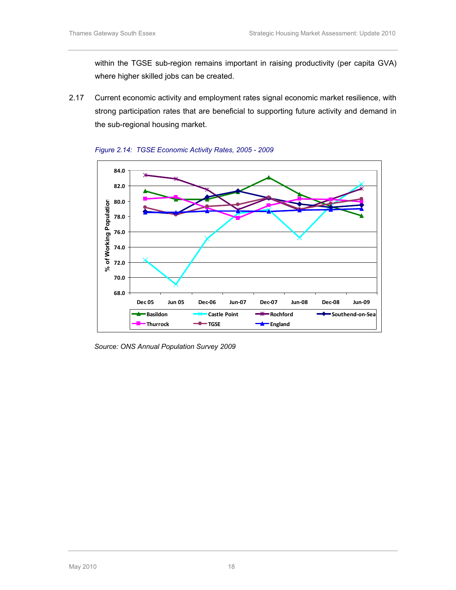within the TGSE sub-region remains important in raising productivity (per capita GVA) where higher skilled jobs can be created.

2.17 Current economic activity and employment rates signal economic market resilience, with strong participation rates that are beneficial to supporting future activity and demand in the sub-regional housing market.





Source: ONS Annual Population Survey 2009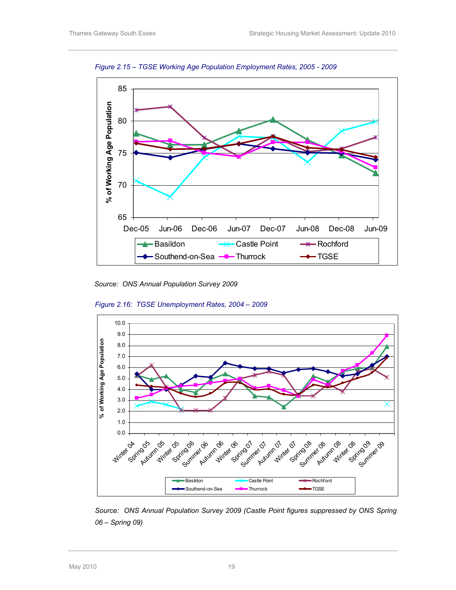

Figure 2.15 – TGSE Working Age Population Employment Rates, 2005 - 2009

Source: ONS Annual Population Survey 2009



Figure 2.16: TGSE Unemployment Rates, 2004 – 2009

Source: ONS Annual Population Survey 2009 (Castle Point figures suppressed by ONS Spring 06 – Spring 09)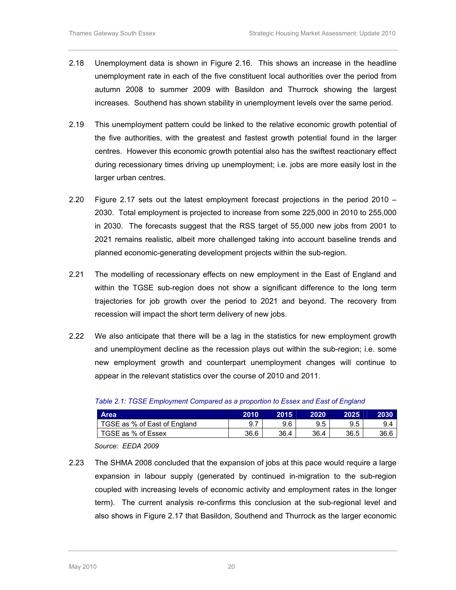- 2.18 Unemployment data is shown in Figure 2.16. This shows an increase in the headline unemployment rate in each of the five constituent local authorities over the period from autumn 2008 to summer 2009 with Basildon and Thurrock showing the largest increases. Southend has shown stability in unemployment levels over the same period.
- 2.19 This unemployment pattern could be linked to the relative economic growth potential of the five authorities, with the greatest and fastest growth potential found in the larger centres. However this economic growth potential also has the swiftest reactionary effect during recessionary times driving up unemployment; i.e. jobs are more easily lost in the larger urban centres.
- 2.20 Figure 2.17 sets out the latest employment forecast projections in the period 2010 2030. Total employment is projected to increase from some 225,000 in 2010 to 255,000 in 2030. The forecasts suggest that the RSS target of 55,000 new jobs from 2001 to 2021 remains realistic, albeit more challenged taking into account baseline trends and planned economic-generating development projects within the sub-region.
- 2.21 The modelling of recessionary effects on new employment in the East of England and within the TGSE sub-region does not show a significant difference to the long term trajectories for job growth over the period to 2021 and beyond. The recovery from recession will impact the short term delivery of new jobs.
- 2.22 We also anticipate that there will be a lag in the statistics for new employment growth and unemployment decline as the recession plays out within the sub-region; i.e. some new employment growth and counterpart unemployment changes will continue to appear in the relevant statistics over the course of 2010 and 2011.

| <b>Area</b>                  | 2010 | 2015 | 2020 | 2025 |      |
|------------------------------|------|------|------|------|------|
| TGSE as % of East of England |      | 9.6  | 9.5  | 9.5  | 9.4  |
| TGSE as % of Essex           | 36.6 | 36.4 | 36.4 | 36.5 | 36.6 |

|  |  | Table 2.1: TGSE Employment Compared as a proportion to Essex and East of England |
|--|--|----------------------------------------------------------------------------------|
|--|--|----------------------------------------------------------------------------------|

Source: EEDA 2009

2.23 The SHMA 2008 concluded that the expansion of jobs at this pace would require a large expansion in labour supply (generated by continued in-migration to the sub-region coupled with increasing levels of economic activity and employment rates in the longer term). The current analysis re-confirms this conclusion at the sub-regional level and also shows in Figure 2.17 that Basildon, Southend and Thurrock as the larger economic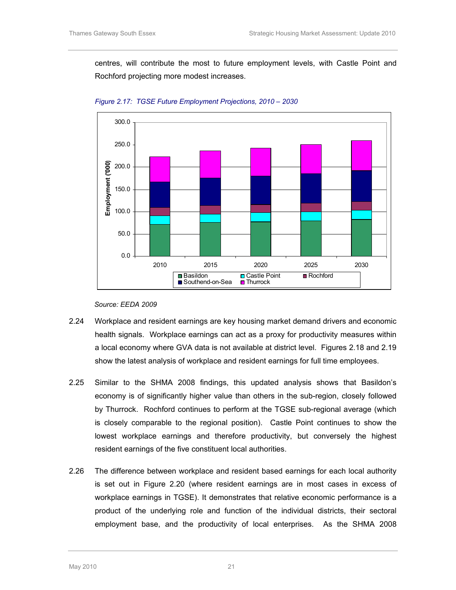centres, will contribute the most to future employment levels, with Castle Point and Rochford projecting more modest increases.



Figure 2.17: TGSE Future Employment Projections, 2010 – 2030

#### Source: EEDA 2009

- 2.24 Workplace and resident earnings are key housing market demand drivers and economic health signals. Workplace earnings can act as a proxy for productivity measures within a local economy where GVA data is not available at district level. Figures 2.18 and 2.19 show the latest analysis of workplace and resident earnings for full time employees.
- 2.25 Similar to the SHMA 2008 findings, this updated analysis shows that Basildon's economy is of significantly higher value than others in the sub-region, closely followed by Thurrock. Rochford continues to perform at the TGSE sub-regional average (which is closely comparable to the regional position). Castle Point continues to show the lowest workplace earnings and therefore productivity, but conversely the highest resident earnings of the five constituent local authorities.
- 2.26 The difference between workplace and resident based earnings for each local authority is set out in Figure 2.20 (where resident earnings are in most cases in excess of workplace earnings in TGSE). It demonstrates that relative economic performance is a product of the underlying role and function of the individual districts, their sectoral employment base, and the productivity of local enterprises. As the SHMA 2008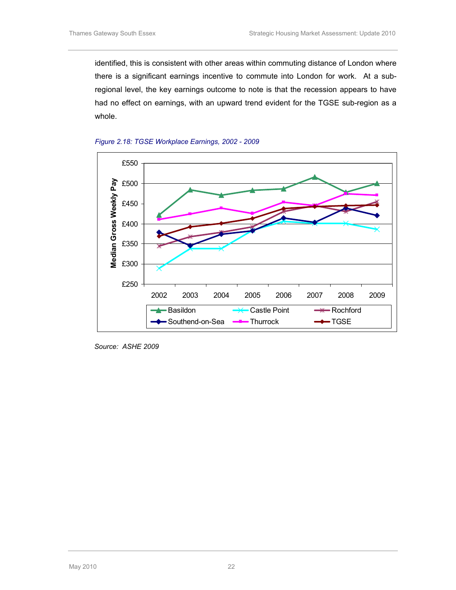identified, this is consistent with other areas within commuting distance of London where there is a significant earnings incentive to commute into London for work. At a subregional level, the key earnings outcome to note is that the recession appears to have had no effect on earnings, with an upward trend evident for the TGSE sub-region as a whole.





Source: ASHE 2009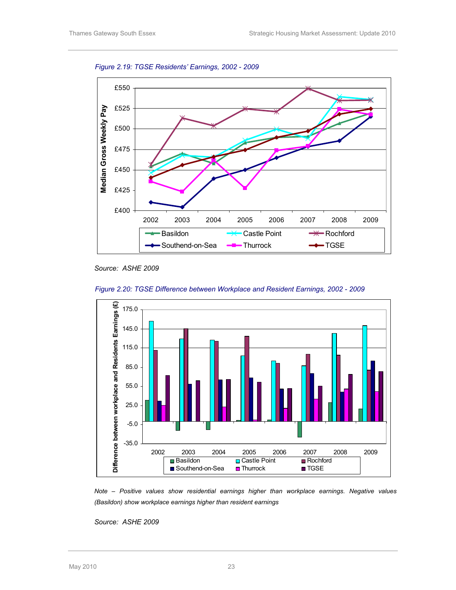Figure 2.19: TGSE Residents' Earnings, 2002 - 2009



Source: ASHE 2009



Figure 2.20: TGSE Difference between Workplace and Resident Earnings, 2002 - 2009

Note – Positive values show residential earnings higher than workplace earnings. Negative values (Basildon) show workplace earnings higher than resident earnings

Source: ASHE 2009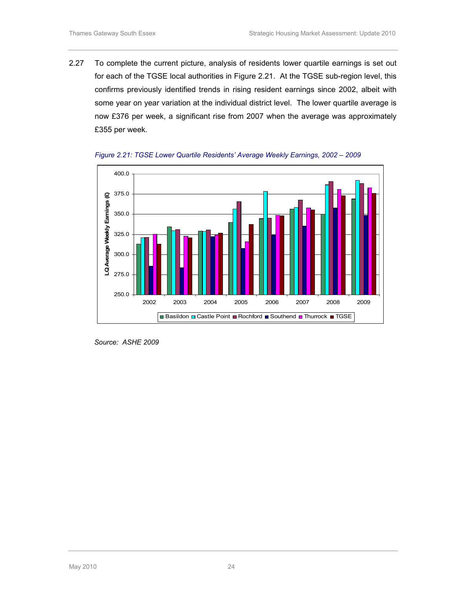2.27 To complete the current picture, analysis of residents lower quartile earnings is set out for each of the TGSE local authorities in Figure 2.21. At the TGSE sub-region level, this confirms previously identified trends in rising resident earnings since 2002, albeit with some year on year variation at the individual district level. The lower quartile average is now £376 per week, a significant rise from 2007 when the average was approximately £355 per week.





Source: ASHE 2009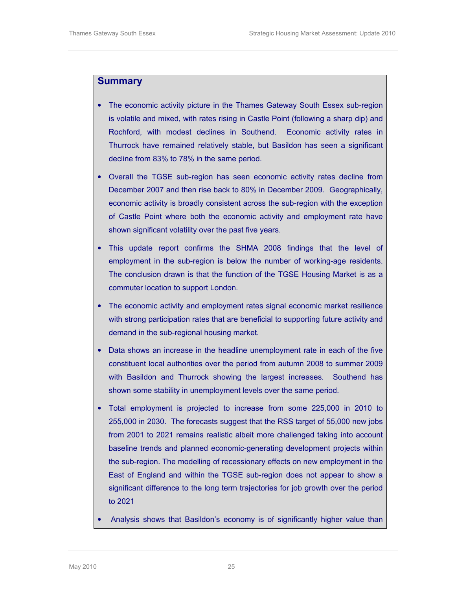#### Summary

- The economic activity picture in the Thames Gateway South Essex sub-region is volatile and mixed, with rates rising in Castle Point (following a sharp dip) and Rochford, with modest declines in Southend. Economic activity rates in Thurrock have remained relatively stable, but Basildon has seen a significant decline from 83% to 78% in the same period.
- Overall the TGSE sub-region has seen economic activity rates decline from December 2007 and then rise back to 80% in December 2009. Geographically, economic activity is broadly consistent across the sub-region with the exception of Castle Point where both the economic activity and employment rate have shown significant volatility over the past five years.
- This update report confirms the SHMA 2008 findings that the level of employment in the sub-region is below the number of working-age residents. The conclusion drawn is that the function of the TGSE Housing Market is as a commuter location to support London.
- The economic activity and employment rates signal economic market resilience with strong participation rates that are beneficial to supporting future activity and demand in the sub-regional housing market.
- Data shows an increase in the headline unemployment rate in each of the five constituent local authorities over the period from autumn 2008 to summer 2009 with Basildon and Thurrock showing the largest increases. Southend has shown some stability in unemployment levels over the same period.
- Total employment is projected to increase from some 225,000 in 2010 to 255,000 in 2030. The forecasts suggest that the RSS target of 55,000 new jobs from 2001 to 2021 remains realistic albeit more challenged taking into account baseline trends and planned economic-generating development projects within the sub-region. The modelling of recessionary effects on new employment in the East of England and within the TGSE sub-region does not appear to show a significant difference to the long term trajectories for job growth over the period to 2021
- Analysis shows that Basildon's economy is of significantly higher value than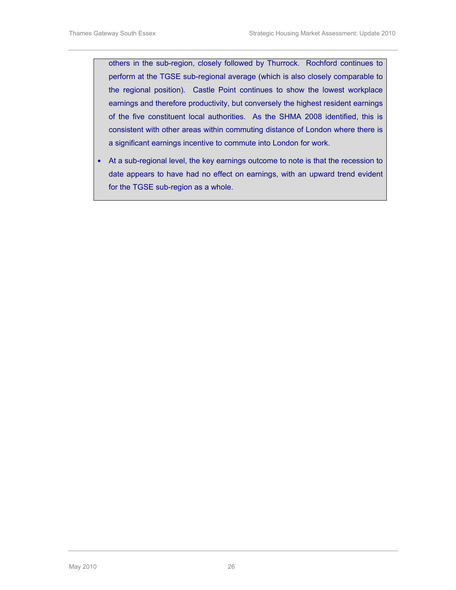others in the sub-region, closely followed by Thurrock. Rochford continues to perform at the TGSE sub-regional average (which is also closely comparable to the regional position). Castle Point continues to show the lowest workplace earnings and therefore productivity, but conversely the highest resident earnings of the five constituent local authorities. As the SHMA 2008 identified, this is consistent with other areas within commuting distance of London where there is a significant earnings incentive to commute into London for work.

• At a sub-regional level, the key earnings outcome to note is that the recession to date appears to have had no effect on earnings, with an upward trend evident for the TGSE sub-region as a whole.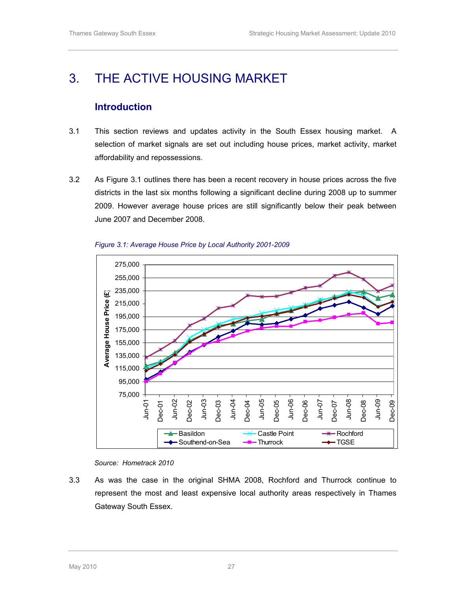## 3. THE ACTIVE HOUSING MARKET

## Introduction

- 3.1 This section reviews and updates activity in the South Essex housing market. A selection of market signals are set out including house prices, market activity, market affordability and repossessions.
- 3.2 As Figure 3.1 outlines there has been a recent recovery in house prices across the five districts in the last six months following a significant decline during 2008 up to summer 2009. However average house prices are still significantly below their peak between June 2007 and December 2008.





#### Source: Hometrack 2010

3.3 As was the case in the original SHMA 2008, Rochford and Thurrock continue to represent the most and least expensive local authority areas respectively in Thames Gateway South Essex.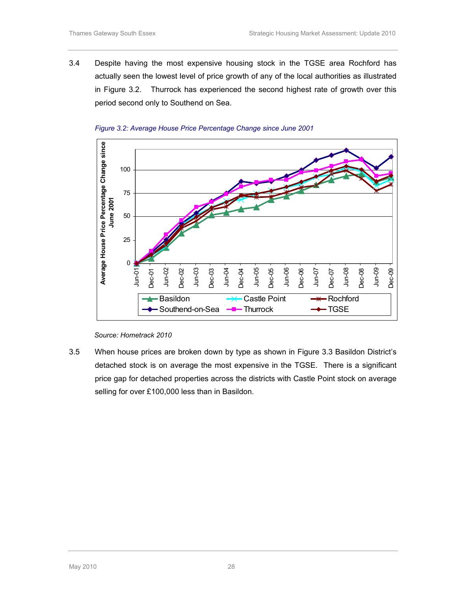3.4 Despite having the most expensive housing stock in the TGSE area Rochford has actually seen the lowest level of price growth of any of the local authorities as illustrated in Figure 3.2. Thurrock has experienced the second highest rate of growth over this period second only to Southend on Sea.





3.5 When house prices are broken down by type as shown in Figure 3.3 Basildon District's detached stock is on average the most expensive in the TGSE. There is a significant price gap for detached properties across the districts with Castle Point stock on average selling for over £100,000 less than in Basildon.

Source: Hometrack 2010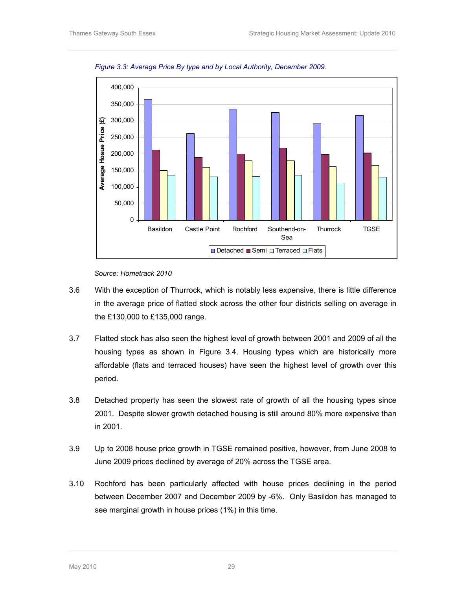

Figure 3.3: Average Price By type and by Local Authority, December 2009.

- 3.6 With the exception of Thurrock, which is notably less expensive, there is little difference in the average price of flatted stock across the other four districts selling on average in the £130,000 to £135,000 range.
- 3.7 Flatted stock has also seen the highest level of growth between 2001 and 2009 of all the housing types as shown in Figure 3.4. Housing types which are historically more affordable (flats and terraced houses) have seen the highest level of growth over this period.
- 3.8 Detached property has seen the slowest rate of growth of all the housing types since 2001. Despite slower growth detached housing is still around 80% more expensive than in 2001.
- 3.9 Up to 2008 house price growth in TGSE remained positive, however, from June 2008 to June 2009 prices declined by average of 20% across the TGSE area.
- 3.10 Rochford has been particularly affected with house prices declining in the period between December 2007 and December 2009 by -6%. Only Basildon has managed to see marginal growth in house prices (1%) in this time.

Source: Hometrack 2010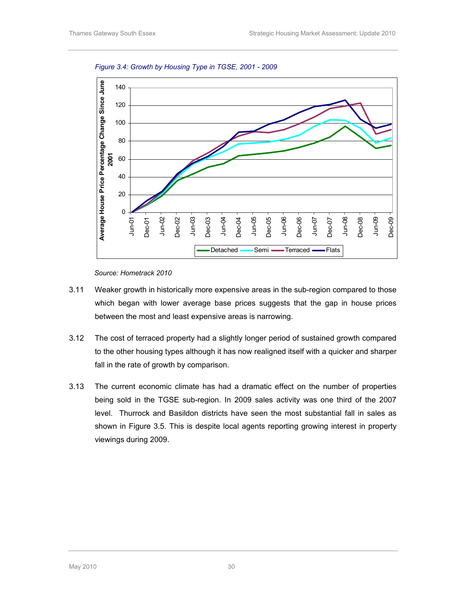

Figure 3.4: Growth by Housing Type in TGSE, 2001 - 2009

Source: Hometrack 2010

- 3.11 Weaker growth in historically more expensive areas in the sub-region compared to those which began with lower average base prices suggests that the gap in house prices between the most and least expensive areas is narrowing.
- 3.12 The cost of terraced property had a slightly longer period of sustained growth compared to the other housing types although it has now realigned itself with a quicker and sharper fall in the rate of growth by comparison.
- 3.13 The current economic climate has had a dramatic effect on the number of properties being sold in the TGSE sub-region. In 2009 sales activity was one third of the 2007 level. Thurrock and Basildon districts have seen the most substantial fall in sales as shown in Figure 3.5. This is despite local agents reporting growing interest in property viewings during 2009.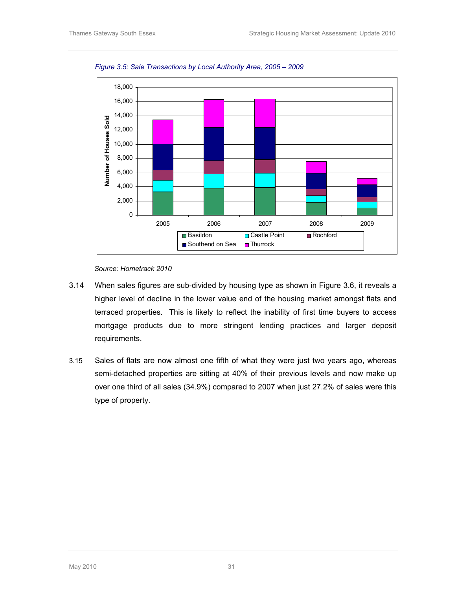

Figure 3.5: Sale Transactions by Local Authority Area, 2005 – 2009

- 3.14 When sales figures are sub-divided by housing type as shown in Figure 3.6, it reveals a higher level of decline in the lower value end of the housing market amongst flats and terraced properties. This is likely to reflect the inability of first time buyers to access mortgage products due to more stringent lending practices and larger deposit requirements.
- 3.15 Sales of flats are now almost one fifth of what they were just two years ago, whereas semi-detached properties are sitting at 40% of their previous levels and now make up over one third of all sales (34.9%) compared to 2007 when just 27.2% of sales were this type of property.

Source: Hometrack 2010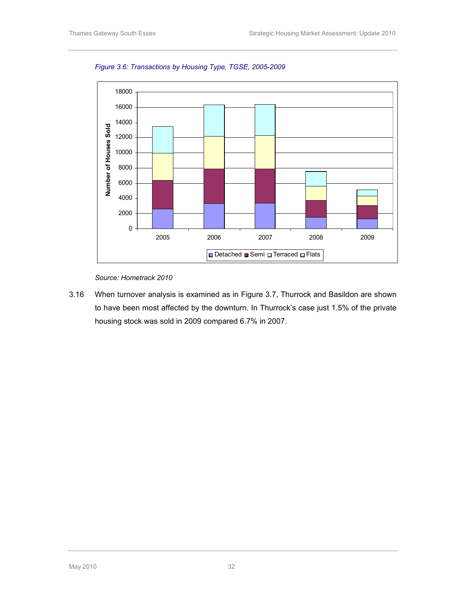

Figure 3.6: Transactions by Housing Type, TGSE, 2005-2009

Source: Hometrack 2010

3.16 When turnover analysis is examined as in Figure 3.7, Thurrock and Basildon are shown to have been most affected by the downturn. In Thurrock's case just 1.5% of the private housing stock was sold in 2009 compared 6.7% in 2007.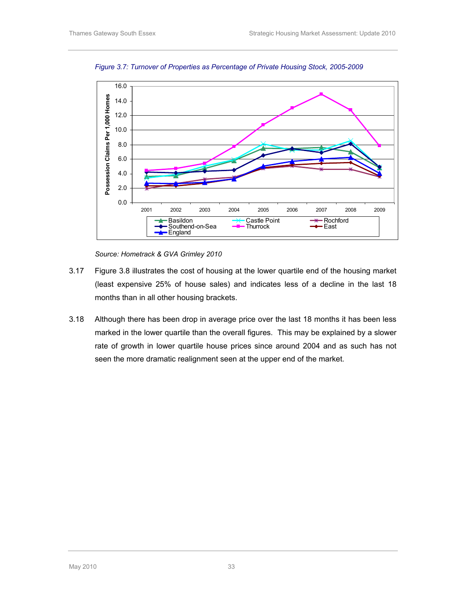

Figure 3.7: Turnover of Properties as Percentage of Private Housing Stock, 2005-2009

Source: Hometrack & GVA Grimley 2010

- 3.17 Figure 3.8 illustrates the cost of housing at the lower quartile end of the housing market (least expensive 25% of house sales) and indicates less of a decline in the last 18 months than in all other housing brackets.
- 3.18 Although there has been drop in average price over the last 18 months it has been less marked in the lower quartile than the overall figures. This may be explained by a slower rate of growth in lower quartile house prices since around 2004 and as such has not seen the more dramatic realignment seen at the upper end of the market.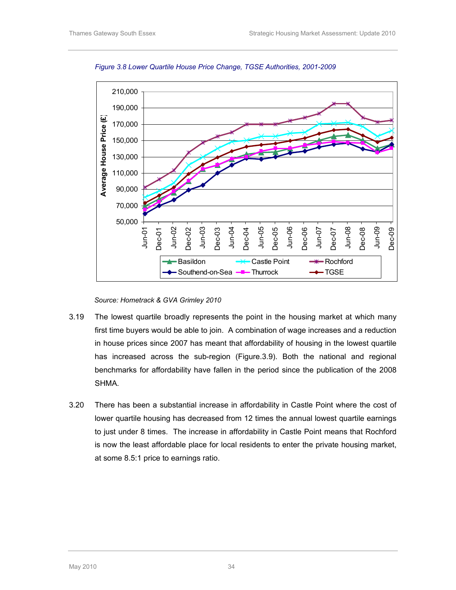



Source: Hometrack & GVA Grimley 2010

- 3.19 The lowest quartile broadly represents the point in the housing market at which many first time buyers would be able to join. A combination of wage increases and a reduction in house prices since 2007 has meant that affordability of housing in the lowest quartile has increased across the sub-region (Figure.3.9). Both the national and regional benchmarks for affordability have fallen in the period since the publication of the 2008 SHMA.
- 3.20 There has been a substantial increase in affordability in Castle Point where the cost of lower quartile housing has decreased from 12 times the annual lowest quartile earnings to just under 8 times. The increase in affordability in Castle Point means that Rochford is now the least affordable place for local residents to enter the private housing market, at some 8.5:1 price to earnings ratio.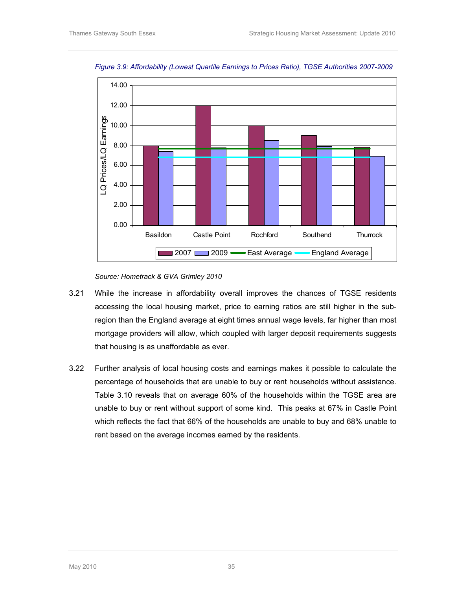

Figure 3.9: Affordability (Lowest Quartile Earnings to Prices Ratio), TGSE Authorities 2007-2009

Source: Hometrack & GVA Grimley 2010

- 3.21 While the increase in affordability overall improves the chances of TGSE residents accessing the local housing market, price to earning ratios are still higher in the subregion than the England average at eight times annual wage levels, far higher than most mortgage providers will allow, which coupled with larger deposit requirements suggests that housing is as unaffordable as ever.
- 3.22 Further analysis of local housing costs and earnings makes it possible to calculate the percentage of households that are unable to buy or rent households without assistance. Table 3.10 reveals that on average 60% of the households within the TGSE area are unable to buy or rent without support of some kind. This peaks at 67% in Castle Point which reflects the fact that 66% of the households are unable to buy and 68% unable to rent based on the average incomes earned by the residents.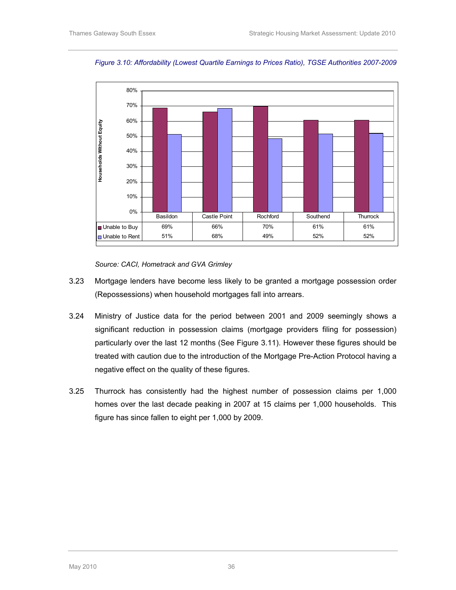

Figure 3.10: Affordability (Lowest Quartile Earnings to Prices Ratio), TGSE Authorities 2007-2009

Source: CACI, Hometrack and GVA Grimley

- 3.23 Mortgage lenders have become less likely to be granted a mortgage possession order (Repossessions) when household mortgages fall into arrears.
- 3.24 Ministry of Justice data for the period between 2001 and 2009 seemingly shows a significant reduction in possession claims (mortgage providers filing for possession) particularly over the last 12 months (See Figure 3.11). However these figures should be treated with caution due to the introduction of the Mortgage Pre-Action Protocol having a negative effect on the quality of these figures.
- 3.25 Thurrock has consistently had the highest number of possession claims per 1,000 homes over the last decade peaking in 2007 at 15 claims per 1,000 households. This figure has since fallen to eight per 1,000 by 2009.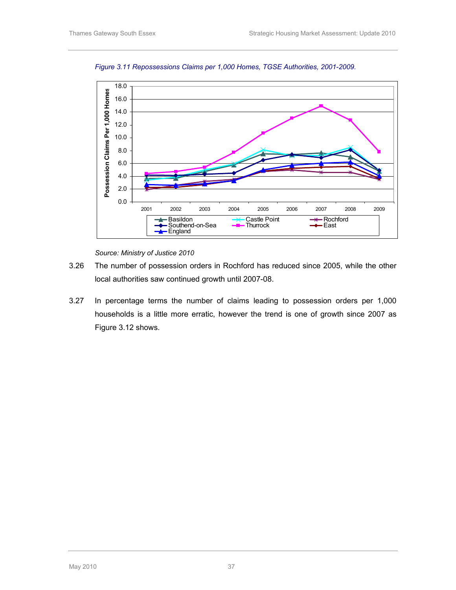

Figure 3.11 Repossessions Claims per 1,000 Homes, TGSE Authorities, 2001-2009.

Source: Ministry of Justice 2010

- 3.26 The number of possession orders in Rochford has reduced since 2005, while the other local authorities saw continued growth until 2007-08.
- 3.27 In percentage terms the number of claims leading to possession orders per 1,000 households is a little more erratic, however the trend is one of growth since 2007 as Figure 3.12 shows.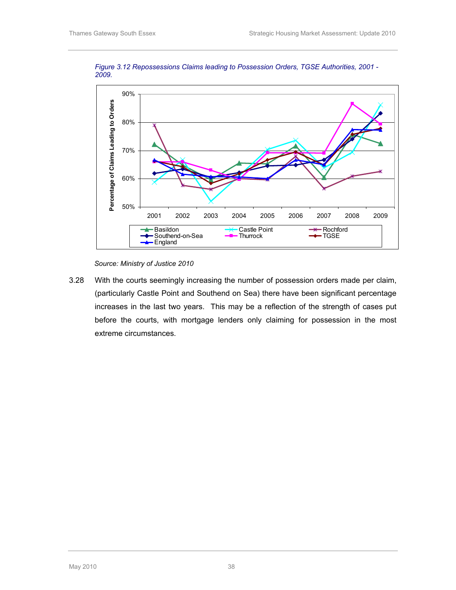

Figure 3.12 Repossessions Claims leading to Possession Orders, TGSE Authorities, 2001 - 2009.

Source: Ministry of Justice 2010

3.28 With the courts seemingly increasing the number of possession orders made per claim, (particularly Castle Point and Southend on Sea) there have been significant percentage increases in the last two years. This may be a reflection of the strength of cases put before the courts, with mortgage lenders only claiming for possession in the most extreme circumstances.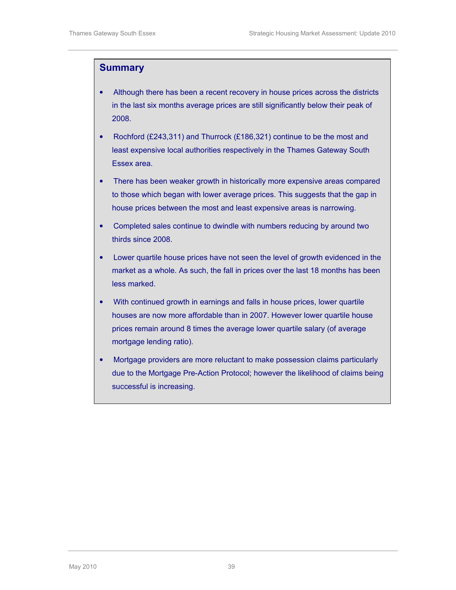#### **Summary**

- Although there has been a recent recovery in house prices across the districts in the last six months average prices are still significantly below their peak of 2008.
- Rochford (£243,311) and Thurrock (£186,321) continue to be the most and least expensive local authorities respectively in the Thames Gateway South Essex area.
- There has been weaker growth in historically more expensive areas compared to those which began with lower average prices. This suggests that the gap in house prices between the most and least expensive areas is narrowing.
- Completed sales continue to dwindle with numbers reducing by around two thirds since 2008.
- Lower quartile house prices have not seen the level of growth evidenced in the market as a whole. As such, the fall in prices over the last 18 months has been less marked.
- With continued growth in earnings and falls in house prices, lower quartile houses are now more affordable than in 2007. However lower quartile house prices remain around 8 times the average lower quartile salary (of average mortgage lending ratio).
- Mortgage providers are more reluctant to make possession claims particularly due to the Mortgage Pre-Action Protocol; however the likelihood of claims being successful is increasing.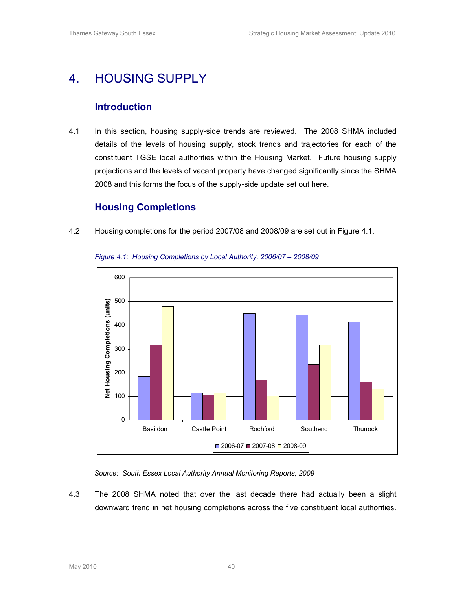## 4. HOUSING SUPPLY

## Introduction

4.1 In this section, housing supply-side trends are reviewed. The 2008 SHMA included details of the levels of housing supply, stock trends and trajectories for each of the constituent TGSE local authorities within the Housing Market. Future housing supply projections and the levels of vacant property have changed significantly since the SHMA 2008 and this forms the focus of the supply-side update set out here.

### Housing Completions

4.2 Housing completions for the period 2007/08 and 2008/09 are set out in Figure 4.1.



Figure 4.1: Housing Completions by Local Authority, 2006/07 – 2008/09

Source: South Essex Local Authority Annual Monitoring Reports, 2009

4.3 The 2008 SHMA noted that over the last decade there had actually been a slight downward trend in net housing completions across the five constituent local authorities.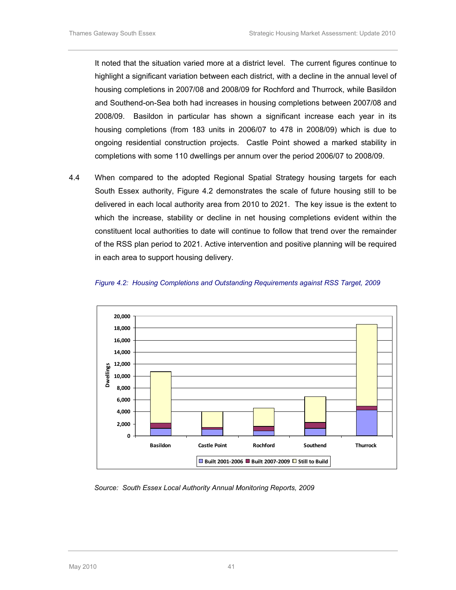It noted that the situation varied more at a district level. The current figures continue to highlight a significant variation between each district, with a decline in the annual level of housing completions in 2007/08 and 2008/09 for Rochford and Thurrock, while Basildon and Southend-on-Sea both had increases in housing completions between 2007/08 and 2008/09. Basildon in particular has shown a significant increase each year in its housing completions (from 183 units in 2006/07 to 478 in 2008/09) which is due to ongoing residential construction projects. Castle Point showed a marked stability in completions with some 110 dwellings per annum over the period 2006/07 to 2008/09.

4.4 When compared to the adopted Regional Spatial Strategy housing targets for each South Essex authority, Figure 4.2 demonstrates the scale of future housing still to be delivered in each local authority area from 2010 to 2021. The key issue is the extent to which the increase, stability or decline in net housing completions evident within the constituent local authorities to date will continue to follow that trend over the remainder of the RSS plan period to 2021. Active intervention and positive planning will be required in each area to support housing delivery.





Source: South Essex Local Authority Annual Monitoring Reports, 2009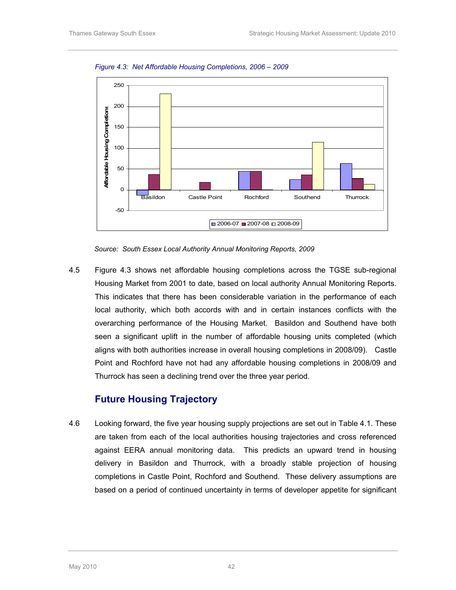

Figure 4.3: Net Affordable Housing Completions, 2006 – 2009

Source: South Essex Local Authority Annual Monitoring Reports, 2009

4.5 Figure 4.3 shows net affordable housing completions across the TGSE sub-regional Housing Market from 2001 to date, based on local authority Annual Monitoring Reports. This indicates that there has been considerable variation in the performance of each local authority, which both accords with and in certain instances conflicts with the overarching performance of the Housing Market. Basildon and Southend have both seen a significant uplift in the number of affordable housing units completed (which aligns with both authorities increase in overall housing completions in 2008/09). Castle Point and Rochford have not had any affordable housing completions in 2008/09 and Thurrock has seen a declining trend over the three year period.

#### Future Housing Trajectory

4.6 Looking forward, the five year housing supply projections are set out in Table 4.1. These are taken from each of the local authorities housing trajectories and cross referenced against EERA annual monitoring data. This predicts an upward trend in housing delivery in Basildon and Thurrock, with a broadly stable projection of housing completions in Castle Point, Rochford and Southend. These delivery assumptions are based on a period of continued uncertainty in terms of developer appetite for significant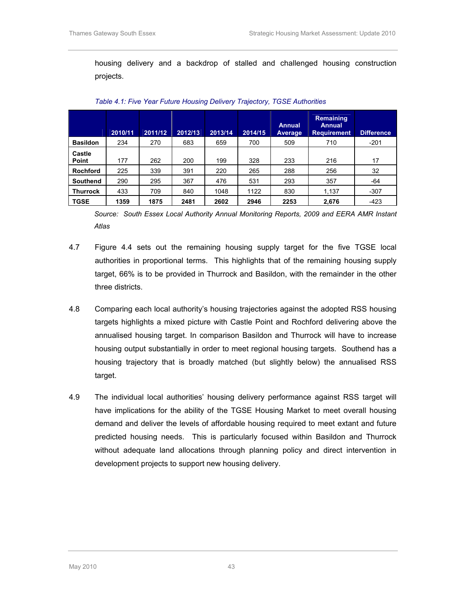housing delivery and a backdrop of stalled and challenged housing construction projects.

|                 | 2010/11 | 2011/12 | 2012/13 | 2013/14 | 2014/15 | <b>Annual</b><br>Average | <b>Remaining</b><br><b>Annual</b><br><b>Requirement</b> | Difference |
|-----------------|---------|---------|---------|---------|---------|--------------------------|---------------------------------------------------------|------------|
| <b>Basildon</b> | 234     | 270     | 683     | 659     | 700     | 509                      | 710                                                     | $-201$     |
| Castle<br>Point | 177     | 262     | 200     | 199     | 328     | 233                      | 216                                                     | 17         |
| <b>Rochford</b> | 225     | 339     | 391     | 220     | 265     | 288                      | 256                                                     | 32         |
| Southend        | 290     | 295     | 367     | 476     | 531     | 293                      | 357                                                     | -64        |
| <b>Thurrock</b> | 433     | 709     | 840     | 1048    | 1122    | 830                      | 1,137                                                   | $-307$     |
| <b>TGSE</b>     | 1359    | 1875    | 2481    | 2602    | 2946    | 2253                     | 2,676                                                   | $-423$     |

Table 4.1: Five Year Future Housing Delivery Trajectory, TGSE Authorities

Source: South Essex Local Authority Annual Monitoring Reports, 2009 and EERA AMR Instant Atlas

- 4.7 Figure 4.4 sets out the remaining housing supply target for the five TGSE local authorities in proportional terms. This highlights that of the remaining housing supply target, 66% is to be provided in Thurrock and Basildon, with the remainder in the other three districts.
- 4.8 Comparing each local authority's housing trajectories against the adopted RSS housing targets highlights a mixed picture with Castle Point and Rochford delivering above the annualised housing target. In comparison Basildon and Thurrock will have to increase housing output substantially in order to meet regional housing targets. Southend has a housing trajectory that is broadly matched (but slightly below) the annualised RSS target.
- 4.9 The individual local authorities' housing delivery performance against RSS target will have implications for the ability of the TGSE Housing Market to meet overall housing demand and deliver the levels of affordable housing required to meet extant and future predicted housing needs. This is particularly focused within Basildon and Thurrock without adequate land allocations through planning policy and direct intervention in development projects to support new housing delivery.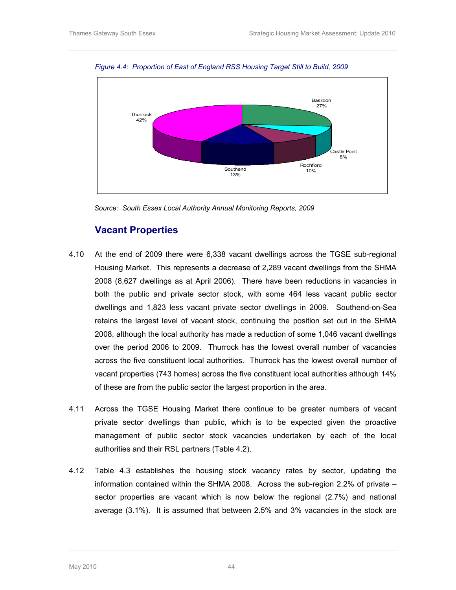

Figure 4.4: Proportion of East of England RSS Housing Target Still to Build, 2009

Source: South Essex Local Authority Annual Monitoring Reports, 2009

### Vacant Properties

- 4.10 At the end of 2009 there were 6,338 vacant dwellings across the TGSE sub-regional Housing Market. This represents a decrease of 2,289 vacant dwellings from the SHMA 2008 (8,627 dwellings as at April 2006). There have been reductions in vacancies in both the public and private sector stock, with some 464 less vacant public sector dwellings and 1,823 less vacant private sector dwellings in 2009. Southend-on-Sea retains the largest level of vacant stock, continuing the position set out in the SHMA 2008, although the local authority has made a reduction of some 1,046 vacant dwellings over the period 2006 to 2009. Thurrock has the lowest overall number of vacancies across the five constituent local authorities. Thurrock has the lowest overall number of vacant properties (743 homes) across the five constituent local authorities although 14% of these are from the public sector the largest proportion in the area.
- 4.11 Across the TGSE Housing Market there continue to be greater numbers of vacant private sector dwellings than public, which is to be expected given the proactive management of public sector stock vacancies undertaken by each of the local authorities and their RSL partners (Table 4.2).
- 4.12 Table 4.3 establishes the housing stock vacancy rates by sector, updating the information contained within the SHMA 2008. Across the sub-region 2.2% of private – sector properties are vacant which is now below the regional (2.7%) and national average (3.1%). It is assumed that between 2.5% and 3% vacancies in the stock are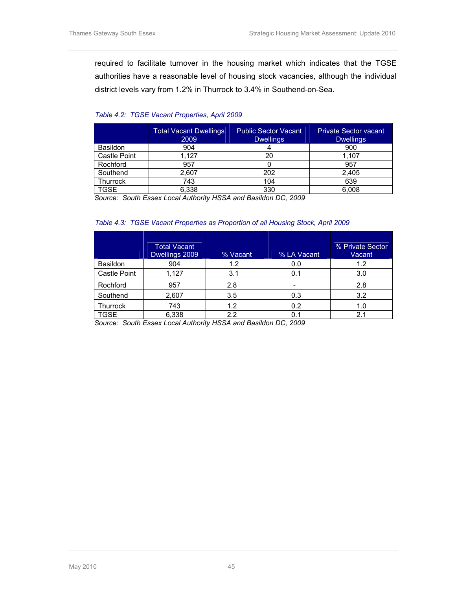required to facilitate turnover in the housing market which indicates that the TGSE authorities have a reasonable level of housing stock vacancies, although the individual district levels vary from 1.2% in Thurrock to 3.4% in Southend-on-Sea.

#### Table 4.2: TGSE Vacant Properties, April 2009

|                 | <b>Total Vacant Dwellings</b><br>2009 | <b>Public Sector Vacant</b><br><b>Dwellings</b> | <b>Private Sector vacant</b><br><b>Dwellings</b> |
|-----------------|---------------------------------------|-------------------------------------------------|--------------------------------------------------|
| <b>Basildon</b> | 904                                   |                                                 | 900                                              |
| Castle Point    | 1.127                                 | 20                                              | 1.107                                            |
| Rochford        | 957                                   |                                                 | 957                                              |
| Southend        | 2,607                                 | 202                                             | 2,405                                            |
| Thurrock        | 743                                   | 104                                             | 639                                              |
| TGSE            | 6.338                                 | 330                                             | 6.008                                            |

Source: South Essex Local Authority HSSA and Basildon DC, 2009

#### Table 4.3: TGSE Vacant Properties as Proportion of all Housing Stock, April 2009

|                 | <b>Total Vacant</b><br>Dwellings 2009 | % Vacant | % LA Vacant | % Private Sector<br>Vacant |
|-----------------|---------------------------------------|----------|-------------|----------------------------|
| <b>Basildon</b> | 904                                   | 1.2      | 0.0         | 1.2                        |
| Castle Point    | 1,127                                 | 3.1      | 0.1         | 3.0                        |
| Rochford        | 957                                   | 2.8      |             | 2.8                        |
| Southend        | 2,607                                 | 3.5      | 0.3         | 3.2                        |
| <b>Thurrock</b> | 743                                   | 1.2      | 0.2         | 1.0                        |
| <b>TGSE</b>     | 6,338                                 | 2.2      | 0.1         | 2.1                        |

Source: South Essex Local Authority HSSA and Basildon DC, 2009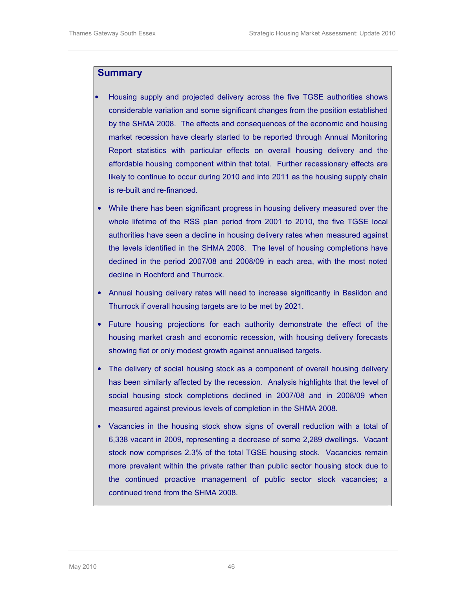#### **Summary**

- Housing supply and projected delivery across the five TGSE authorities shows considerable variation and some significant changes from the position established by the SHMA 2008. The effects and consequences of the economic and housing market recession have clearly started to be reported through Annual Monitoring Report statistics with particular effects on overall housing delivery and the affordable housing component within that total. Further recessionary effects are likely to continue to occur during 2010 and into 2011 as the housing supply chain is re-built and re-financed.
- While there has been significant progress in housing delivery measured over the whole lifetime of the RSS plan period from 2001 to 2010, the five TGSE local authorities have seen a decline in housing delivery rates when measured against the levels identified in the SHMA 2008. The level of housing completions have declined in the period 2007/08 and 2008/09 in each area, with the most noted decline in Rochford and Thurrock.
- Annual housing delivery rates will need to increase significantly in Basildon and Thurrock if overall housing targets are to be met by 2021.
- Future housing projections for each authority demonstrate the effect of the housing market crash and economic recession, with housing delivery forecasts showing flat or only modest growth against annualised targets.
- The delivery of social housing stock as a component of overall housing delivery has been similarly affected by the recession. Analysis highlights that the level of social housing stock completions declined in 2007/08 and in 2008/09 when measured against previous levels of completion in the SHMA 2008.
- Vacancies in the housing stock show signs of overall reduction with a total of 6,338 vacant in 2009, representing a decrease of some 2,289 dwellings. Vacant stock now comprises 2.3% of the total TGSE housing stock. Vacancies remain more prevalent within the private rather than public sector housing stock due to the continued proactive management of public sector stock vacancies; a continued trend from the SHMA 2008.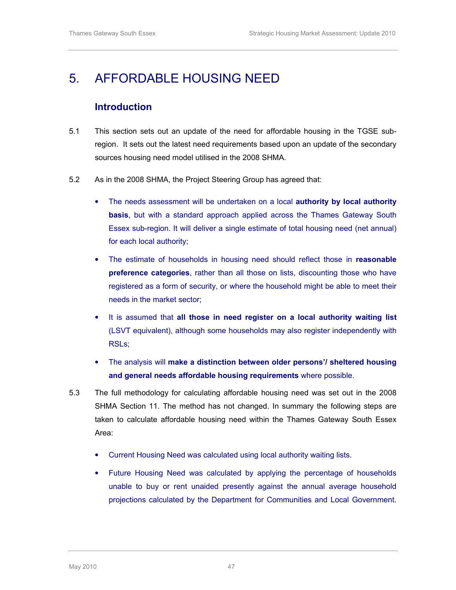## 5. AFFORDABLE HOUSING NEED

### Introduction

- 5.1 This section sets out an update of the need for affordable housing in the TGSE subregion. It sets out the latest need requirements based upon an update of the secondary sources housing need model utilised in the 2008 SHMA.
- 5.2 As in the 2008 SHMA, the Project Steering Group has agreed that:
	- The needs assessment will be undertaken on a local authority by local authority basis, but with a standard approach applied across the Thames Gateway South Essex sub-region. It will deliver a single estimate of total housing need (net annual) for each local authority;
	- The estimate of households in housing need should reflect those in reasonable preference categories, rather than all those on lists, discounting those who have registered as a form of security, or where the household might be able to meet their needs in the market sector;
	- It is assumed that all those in need register on a local authority waiting list (LSVT equivalent), although some households may also register independently with RSLs;
	- The analysis will make a distinction between older persons'/ sheltered housing and general needs affordable housing requirements where possible.
- 5.3 The full methodology for calculating affordable housing need was set out in the 2008 SHMA Section 11. The method has not changed. In summary the following steps are taken to calculate affordable housing need within the Thames Gateway South Essex Area:
	- Current Housing Need was calculated using local authority waiting lists.
	- Future Housing Need was calculated by applying the percentage of households unable to buy or rent unaided presently against the annual average household projections calculated by the Department for Communities and Local Government.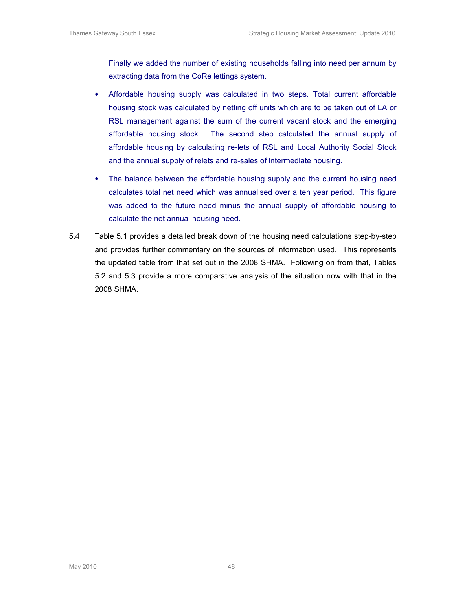Finally we added the number of existing households falling into need per annum by extracting data from the CoRe lettings system.

- Affordable housing supply was calculated in two steps. Total current affordable housing stock was calculated by netting off units which are to be taken out of LA or RSL management against the sum of the current vacant stock and the emerging affordable housing stock. The second step calculated the annual supply of affordable housing by calculating re-lets of RSL and Local Authority Social Stock and the annual supply of relets and re-sales of intermediate housing.
- The balance between the affordable housing supply and the current housing need calculates total net need which was annualised over a ten year period. This figure was added to the future need minus the annual supply of affordable housing to calculate the net annual housing need.
- 5.4 Table 5.1 provides a detailed break down of the housing need calculations step-by-step and provides further commentary on the sources of information used. This represents the updated table from that set out in the 2008 SHMA. Following on from that, Tables 5.2 and 5.3 provide a more comparative analysis of the situation now with that in the 2008 SHMA.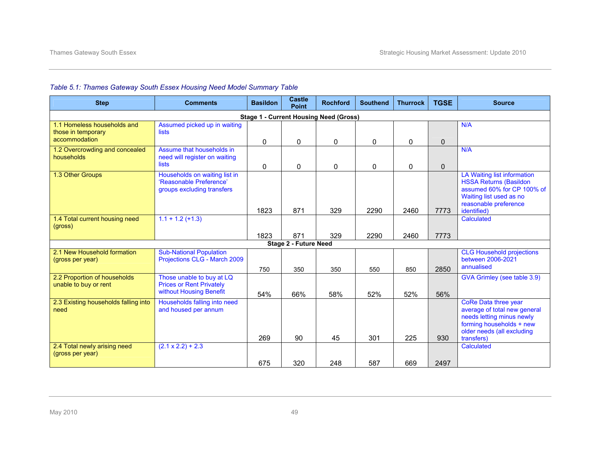| <b>Step</b>                                                        | <b>Comments</b>                                                                         | <b>Basildon</b> | <b>Castle</b><br><b>Point</b> | <b>Rochford</b>                               | <b>Southend</b> | <b>Thurrock</b> | <b>TGSE</b>  | <b>Source</b>                                                                                                                                                 |
|--------------------------------------------------------------------|-----------------------------------------------------------------------------------------|-----------------|-------------------------------|-----------------------------------------------|-----------------|-----------------|--------------|---------------------------------------------------------------------------------------------------------------------------------------------------------------|
|                                                                    |                                                                                         |                 |                               | <b>Stage 1 - Current Housing Need (Gross)</b> |                 |                 |              |                                                                                                                                                               |
| 1.1 Homeless households and<br>those in temporary<br>accommodation | Assumed picked up in waiting<br><b>lists</b>                                            | 0               | $\mathbf{0}$                  | $\mathbf{0}$                                  | $\mathbf 0$     | 0               | $\Omega$     | N/A                                                                                                                                                           |
| 1.2 Overcrowding and concealed<br>households                       | Assume that households in<br>need will register on waiting<br><b>lists</b>              | 0               | 0                             | 0                                             | 0               | 0               | $\mathbf{0}$ | N/A                                                                                                                                                           |
| 1.3 Other Groups                                                   | Households on waiting list in<br>'Reasonable Preference'<br>groups excluding transfers  | 1823            | 871                           | 329                                           | 2290            | 2460            | 7773         | LA Waiting list information<br><b>HSSA Returns (Basildon</b><br>assumed 60% for CP 100% of<br>Waiting list used as no<br>reasonable preference<br>identified) |
| 1.4 Total current housing need<br>(gross)                          | $1.1 + 1.2 (+1.3)$                                                                      | 1823            | 871                           | 329                                           | 2290            | 2460            | 7773         | Calculated                                                                                                                                                    |
|                                                                    |                                                                                         |                 | Stage 2 - Future Need         |                                               |                 |                 |              |                                                                                                                                                               |
| 2.1 New Household formation<br>(gross per year)                    | <b>Sub-National Population</b><br>Projections CLG - March 2009                          | 750             | 350                           | 350                                           | 550             | 850             | 2850         | <b>CLG Household projections</b><br>between 2006-2021<br>annualised                                                                                           |
| 2.2 Proportion of households<br>unable to buy or rent              | Those unable to buy at LQ<br><b>Prices or Rent Privately</b><br>without Housing Benefit | 54%             | 66%                           | 58%                                           | 52%             | 52%             | 56%          | GVA Grimley (see table 3.9)                                                                                                                                   |
| 2.3 Existing households falling into<br>need                       | Households falling into need<br>and housed per annum                                    | 269             | 90                            | 45                                            | 301             | 225             | 930          | CoRe Data three year<br>average of total new general<br>needs letting minus newly<br>forming households + new<br>older needs (all excluding<br>transfers)     |
| 2.4 Total newly arising need<br>(gross per year)                   | $(2.1 \times 2.2) + 2.3$                                                                | 675             | 320                           | 248                                           | 587             | 669             | 2497         | Calculated                                                                                                                                                    |

#### Table 5.1: Thames Gateway South Essex Housing Need Model Summary Table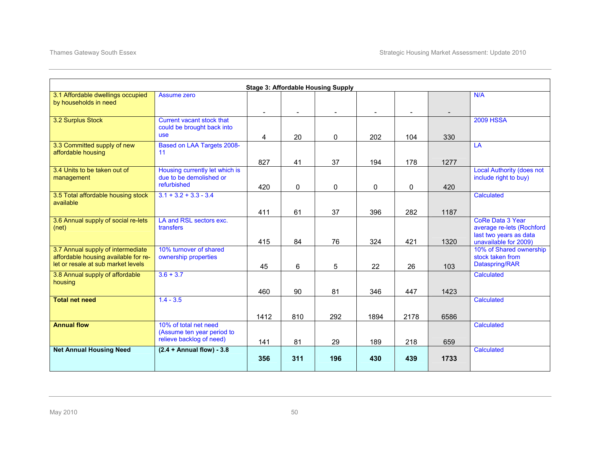|                                      |                                      |      |     | <b>Stage 3: Affordable Housing Supply</b> |      |      |      |                                               |
|--------------------------------------|--------------------------------------|------|-----|-------------------------------------------|------|------|------|-----------------------------------------------|
| 3.1 Affordable dwellings occupied    | Assume zero                          |      |     |                                           |      |      |      | N/A                                           |
| by households in need                |                                      |      |     |                                           |      |      |      |                                               |
|                                      |                                      |      |     |                                           |      |      |      |                                               |
| 3.2 Surplus Stock                    | <b>Current vacant stock that</b>     |      |     |                                           |      |      |      | <b>2009 HSSA</b>                              |
|                                      | could be brought back into           |      |     |                                           |      |      |      |                                               |
|                                      | <b>use</b>                           | 4    | 20  | 0                                         | 202  | 104  | 330  |                                               |
| 3.3 Committed supply of new          | Based on LAA Targets 2008-           |      |     |                                           |      |      |      | LA                                            |
| affordable housing                   | 11                                   |      |     |                                           |      |      |      |                                               |
|                                      |                                      | 827  | 41  | 37                                        | 194  | 178  | 1277 |                                               |
| 3.4 Units to be taken out of         | Housing currently let which is       |      |     |                                           |      |      |      | <b>Local Authority (does not</b>              |
| management                           | due to be demolished or              |      |     |                                           |      |      |      | include right to buy)                         |
|                                      | refurbished                          | 420  | 0   | 0                                         | 0    | 0    | 420  |                                               |
| 3.5 Total affordable housing stock   | $3.1 + 3.2 + 3.3 - 3.4$              |      |     |                                           |      |      |      | Calculated                                    |
| available                            |                                      |      |     |                                           |      |      |      |                                               |
|                                      |                                      |      |     |                                           |      |      |      |                                               |
|                                      |                                      | 411  | 61  | 37                                        | 396  | 282  | 1187 |                                               |
| 3.6 Annual supply of social re-lets  | LA and RSL sectors exc.<br>transfers |      |     |                                           |      |      |      | CoRe Data 3 Year<br>average re-lets (Rochford |
| (net)                                |                                      |      |     |                                           |      |      |      | last two years as data                        |
|                                      |                                      | 415  | 84  | 76                                        | 324  | 421  | 1320 | unavailable for 2009)                         |
| 3.7 Annual supply of intermediate    | 10% turnover of shared               |      |     |                                           |      |      |      | 10% of Shared ownership                       |
| affordable housing available for re- | ownership properties                 |      |     |                                           |      |      |      | stock taken from                              |
| let or resale at sub market levels   |                                      | 45   | 6   | 5                                         | 22   | 26   | 103  | Dataspring/RAR                                |
| 3.8 Annual supply of affordable      | $3.6 + 3.7$                          |      |     |                                           |      |      |      | Calculated                                    |
| housing                              |                                      |      |     |                                           |      |      |      |                                               |
|                                      |                                      |      |     |                                           |      |      |      |                                               |
|                                      |                                      | 460  | 90  | 81                                        | 346  | 447  | 1423 |                                               |
| <b>Total net need</b>                | $1.4 - 3.5$                          |      |     |                                           |      |      |      | Calculated                                    |
|                                      |                                      |      |     |                                           |      |      |      |                                               |
|                                      |                                      | 1412 | 810 | 292                                       | 1894 | 2178 | 6586 |                                               |
| <b>Annual flow</b>                   | 10% of total net need                |      |     |                                           |      |      |      | Calculated                                    |
|                                      | (Assume ten year period to           |      |     |                                           |      |      |      |                                               |
|                                      | relieve backlog of need)             | 141  | 81  | 29                                        | 189  | 218  | 659  |                                               |
| <b>Net Annual Housing Need</b>       | $(2.4 + Annual flow) - 3.8$          |      |     |                                           |      |      |      | Calculated                                    |
|                                      |                                      | 356  | 311 | 196                                       | 430  | 439  | 1733 |                                               |
|                                      |                                      |      |     |                                           |      |      |      |                                               |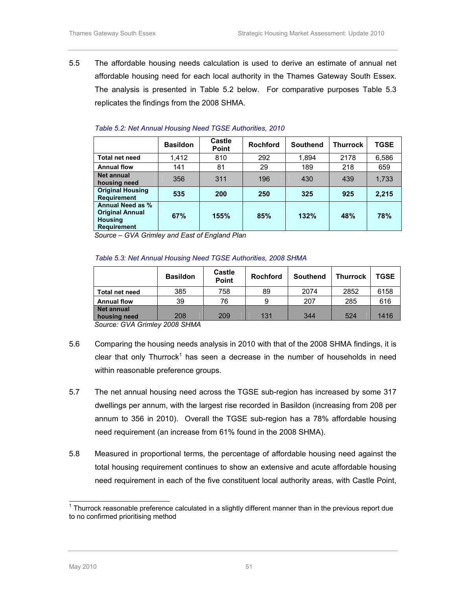5.5 The affordable housing needs calculation is used to derive an estimate of annual net affordable housing need for each local authority in the Thames Gateway South Essex. The analysis is presented in Table 5.2 below. For comparative purposes Table 5.3 replicates the findings from the 2008 SHMA.

|                                                                                           | <b>Basildon</b> | Castle<br><b>Point</b> | <b>Rochford</b> | <b>Southend</b> | <b>Thurrock</b> | TGSE  |
|-------------------------------------------------------------------------------------------|-----------------|------------------------|-----------------|-----------------|-----------------|-------|
| <b>Total net need</b>                                                                     | 1,412           | 810                    | 292             | 1,894           | 2178            | 6,586 |
| <b>Annual flow</b>                                                                        | 141             | 81                     | 29              | 189             | 218             | 659   |
| <b>Net annual</b><br>housing need                                                         | 356             | 311                    | 196             | 430             | 439             | 1,733 |
| <b>Original Housing</b><br><b>Requirement</b>                                             | 535             | 200                    | 250             | 325             | 925             | 2,215 |
| <b>Annual Need as %</b><br><b>Original Annual</b><br><b>Housing</b><br><b>Requirement</b> | 67%             | 155%                   | 85%             | 132%            | 48%             | 78%   |

#### Table 5.2: Net Annual Housing Need TGSE Authorities, 2010

Source – GVA Grimley and East of England Plan

#### Table 5.3: Net Annual Housing Need TGSE Authorities, 2008 SHMA

|                                   | <b>Basildon</b> | Castle<br><b>Point</b> | <b>Rochford</b> | <b>Southend</b> | <b>Thurrock</b> | <b>TGSE</b> |
|-----------------------------------|-----------------|------------------------|-----------------|-----------------|-----------------|-------------|
| Total net need                    | 385             | 758                    | 89              | 2074            | 2852            | 6158        |
| <b>Annual flow</b>                | 39              | 76                     | 9               | 207             | 285             | 616         |
| <b>Net annual</b><br>housing need | 208             | 209                    | 131             | 344             | 524             | 1416        |

Source: GVA Grimley 2008 SHMA

- 5.6 Comparing the housing needs analysis in 2010 with that of the 2008 SHMA findings, it is clear that only Thurrock<sup>1</sup> has seen a decrease in the number of households in need within reasonable preference groups.
- 5.7 The net annual housing need across the TGSE sub-region has increased by some 317 dwellings per annum, with the largest rise recorded in Basildon (increasing from 208 per annum to 356 in 2010). Overall the TGSE sub-region has a 78% affordable housing need requirement (an increase from 61% found in the 2008 SHMA).
- 5.8 Measured in proportional terms, the percentage of affordable housing need against the total housing requirement continues to show an extensive and acute affordable housing need requirement in each of the five constituent local authority areas, with Castle Point,

 $\overline{a}$ 

 $1$  Thurrock reasonable preference calculated in a slightly different manner than in the previous report due to no confirmed prioritising method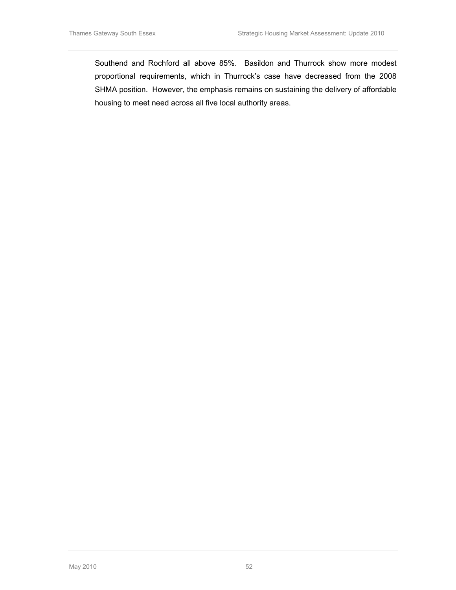Southend and Rochford all above 85%. Basildon and Thurrock show more modest proportional requirements, which in Thurrock's case have decreased from the 2008 SHMA position. However, the emphasis remains on sustaining the delivery of affordable housing to meet need across all five local authority areas.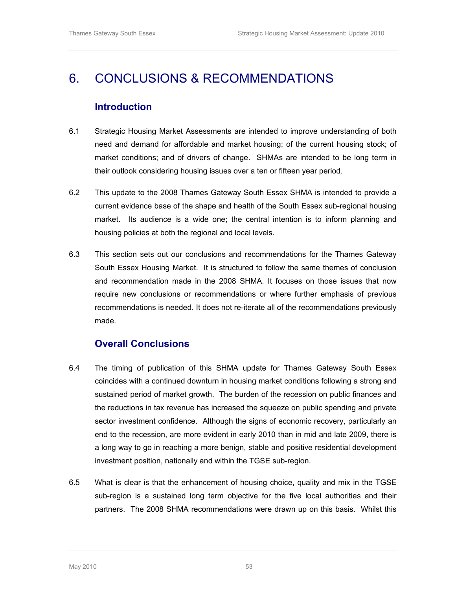## 6. CONCLUSIONS & RECOMMENDATIONS

## Introduction

- 6.1 Strategic Housing Market Assessments are intended to improve understanding of both need and demand for affordable and market housing; of the current housing stock; of market conditions; and of drivers of change. SHMAs are intended to be long term in their outlook considering housing issues over a ten or fifteen year period.
- 6.2 This update to the 2008 Thames Gateway South Essex SHMA is intended to provide a current evidence base of the shape and health of the South Essex sub-regional housing market. Its audience is a wide one; the central intention is to inform planning and housing policies at both the regional and local levels.
- 6.3 This section sets out our conclusions and recommendations for the Thames Gateway South Essex Housing Market. It is structured to follow the same themes of conclusion and recommendation made in the 2008 SHMA. It focuses on those issues that now require new conclusions or recommendations or where further emphasis of previous recommendations is needed. It does not re-iterate all of the recommendations previously made.

### Overall Conclusions

- 6.4 The timing of publication of this SHMA update for Thames Gateway South Essex coincides with a continued downturn in housing market conditions following a strong and sustained period of market growth. The burden of the recession on public finances and the reductions in tax revenue has increased the squeeze on public spending and private sector investment confidence. Although the signs of economic recovery, particularly an end to the recession, are more evident in early 2010 than in mid and late 2009, there is a long way to go in reaching a more benign, stable and positive residential development investment position, nationally and within the TGSE sub-region.
- 6.5 What is clear is that the enhancement of housing choice, quality and mix in the TGSE sub-region is a sustained long term objective for the five local authorities and their partners. The 2008 SHMA recommendations were drawn up on this basis. Whilst this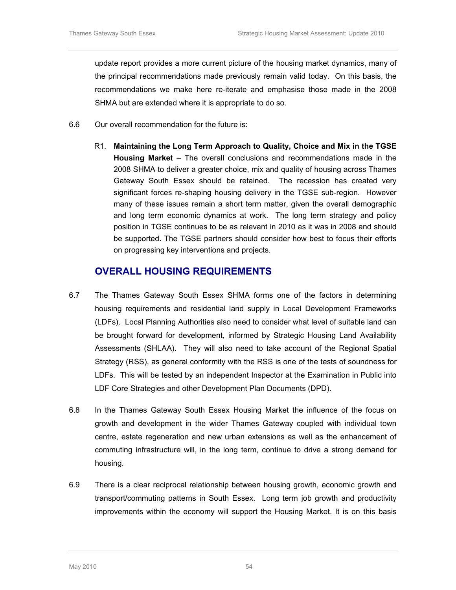update report provides a more current picture of the housing market dynamics, many of the principal recommendations made previously remain valid today. On this basis, the recommendations we make here re-iterate and emphasise those made in the 2008 SHMA but are extended where it is appropriate to do so.

- 6.6 Our overall recommendation for the future is:
	- R1. Maintaining the Long Term Approach to Quality, Choice and Mix in the TGSE Housing Market – The overall conclusions and recommendations made in the 2008 SHMA to deliver a greater choice, mix and quality of housing across Thames Gateway South Essex should be retained. The recession has created very significant forces re-shaping housing delivery in the TGSE sub-region. However many of these issues remain a short term matter, given the overall demographic and long term economic dynamics at work. The long term strategy and policy position in TGSE continues to be as relevant in 2010 as it was in 2008 and should be supported. The TGSE partners should consider how best to focus their efforts on progressing key interventions and projects.

#### OVERALL HOUSING REQUIREMENTS

- 6.7 The Thames Gateway South Essex SHMA forms one of the factors in determining housing requirements and residential land supply in Local Development Frameworks (LDFs). Local Planning Authorities also need to consider what level of suitable land can be brought forward for development, informed by Strategic Housing Land Availability Assessments (SHLAA). They will also need to take account of the Regional Spatial Strategy (RSS), as general conformity with the RSS is one of the tests of soundness for LDFs. This will be tested by an independent Inspector at the Examination in Public into LDF Core Strategies and other Development Plan Documents (DPD).
- 6.8 In the Thames Gateway South Essex Housing Market the influence of the focus on growth and development in the wider Thames Gateway coupled with individual town centre, estate regeneration and new urban extensions as well as the enhancement of commuting infrastructure will, in the long term, continue to drive a strong demand for housing.
- 6.9 There is a clear reciprocal relationship between housing growth, economic growth and transport/commuting patterns in South Essex. Long term job growth and productivity improvements within the economy will support the Housing Market. It is on this basis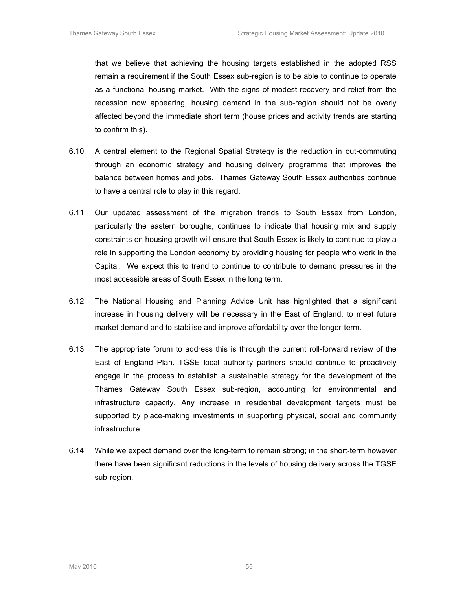that we believe that achieving the housing targets established in the adopted RSS remain a requirement if the South Essex sub-region is to be able to continue to operate as a functional housing market. With the signs of modest recovery and relief from the recession now appearing, housing demand in the sub-region should not be overly affected beyond the immediate short term (house prices and activity trends are starting to confirm this).

- 6.10 A central element to the Regional Spatial Strategy is the reduction in out-commuting through an economic strategy and housing delivery programme that improves the balance between homes and jobs. Thames Gateway South Essex authorities continue to have a central role to play in this regard.
- 6.11 Our updated assessment of the migration trends to South Essex from London, particularly the eastern boroughs, continues to indicate that housing mix and supply constraints on housing growth will ensure that South Essex is likely to continue to play a role in supporting the London economy by providing housing for people who work in the Capital. We expect this to trend to continue to contribute to demand pressures in the most accessible areas of South Essex in the long term.
- 6.12 The National Housing and Planning Advice Unit has highlighted that a significant increase in housing delivery will be necessary in the East of England, to meet future market demand and to stabilise and improve affordability over the longer-term.
- 6.13 The appropriate forum to address this is through the current roll-forward review of the East of England Plan. TGSE local authority partners should continue to proactively engage in the process to establish a sustainable strategy for the development of the Thames Gateway South Essex sub-region, accounting for environmental and infrastructure capacity. Any increase in residential development targets must be supported by place-making investments in supporting physical, social and community infrastructure.
- 6.14 While we expect demand over the long-term to remain strong; in the short-term however there have been significant reductions in the levels of housing delivery across the TGSE sub-region.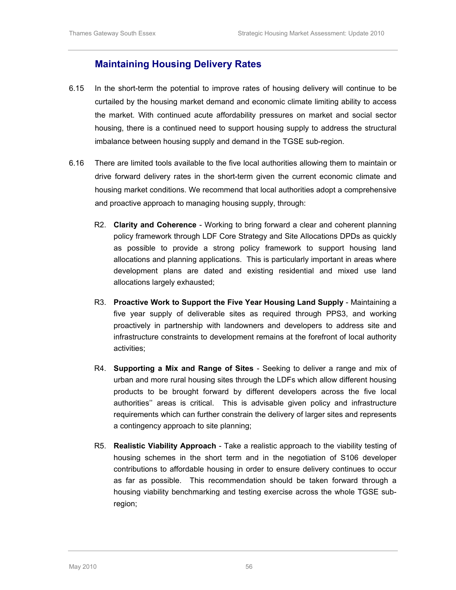#### Maintaining Housing Delivery Rates

- 6.15 In the short-term the potential to improve rates of housing delivery will continue to be curtailed by the housing market demand and economic climate limiting ability to access the market. With continued acute affordability pressures on market and social sector housing, there is a continued need to support housing supply to address the structural imbalance between housing supply and demand in the TGSE sub-region.
- 6.16 There are limited tools available to the five local authorities allowing them to maintain or drive forward delivery rates in the short-term given the current economic climate and housing market conditions. We recommend that local authorities adopt a comprehensive and proactive approach to managing housing supply, through:
	- R2. Clarity and Coherence Working to bring forward a clear and coherent planning policy framework through LDF Core Strategy and Site Allocations DPDs as quickly as possible to provide a strong policy framework to support housing land allocations and planning applications. This is particularly important in areas where development plans are dated and existing residential and mixed use land allocations largely exhausted;
	- R3. Proactive Work to Support the Five Year Housing Land Supply Maintaining a five year supply of deliverable sites as required through PPS3, and working proactively in partnership with landowners and developers to address site and infrastructure constraints to development remains at the forefront of local authority activities;
	- R4. Supporting a Mix and Range of Sites Seeking to deliver a range and mix of urban and more rural housing sites through the LDFs which allow different housing products to be brought forward by different developers across the five local authorities'' areas is critical. This is advisable given policy and infrastructure requirements which can further constrain the delivery of larger sites and represents a contingency approach to site planning;
	- R5. Realistic Viability Approach Take a realistic approach to the viability testing of housing schemes in the short term and in the negotiation of S106 developer contributions to affordable housing in order to ensure delivery continues to occur as far as possible. This recommendation should be taken forward through a housing viability benchmarking and testing exercise across the whole TGSE subregion;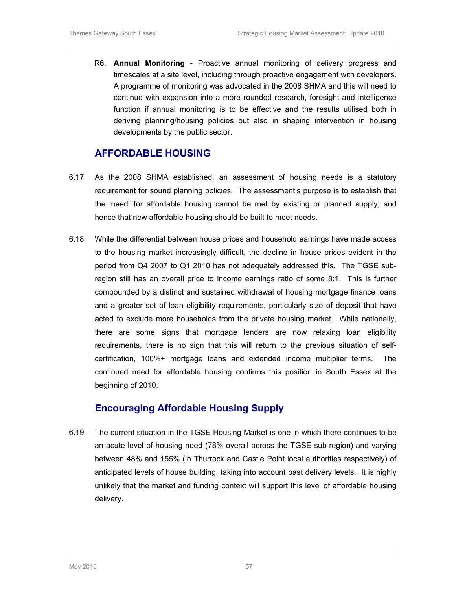R6. Annual Monitoring - Proactive annual monitoring of delivery progress and timescales at a site level, including through proactive engagement with developers. A programme of monitoring was advocated in the 2008 SHMA and this will need to continue with expansion into a more rounded research, foresight and intelligence function if annual monitoring is to be effective and the results utilised both in deriving planning/housing policies but also in shaping intervention in housing developments by the public sector.

#### AFFORDABLE HOUSING

- 6.17 As the 2008 SHMA established, an assessment of housing needs is a statutory requirement for sound planning policies. The assessment's purpose is to establish that the 'need' for affordable housing cannot be met by existing or planned supply; and hence that new affordable housing should be built to meet needs.
- 6.18 While the differential between house prices and household earnings have made access to the housing market increasingly difficult, the decline in house prices evident in the period from Q4 2007 to Q1 2010 has not adequately addressed this. The TGSE subregion still has an overall price to income earnings ratio of some 8:1. This is further compounded by a distinct and sustained withdrawal of housing mortgage finance loans and a greater set of loan eligibility requirements, particularly size of deposit that have acted to exclude more households from the private housing market. While nationally, there are some signs that mortgage lenders are now relaxing loan eligibility requirements, there is no sign that this will return to the previous situation of selfcertification, 100%+ mortgage loans and extended income multiplier terms. The continued need for affordable housing confirms this position in South Essex at the beginning of 2010.

### Encouraging Affordable Housing Supply

6.19 The current situation in the TGSE Housing Market is one in which there continues to be an acute level of housing need (78% overall across the TGSE sub-region) and varying between 48% and 155% (in Thurrock and Castle Point local authorities respectively) of anticipated levels of house building, taking into account past delivery levels. It is highly unlikely that the market and funding context will support this level of affordable housing delivery.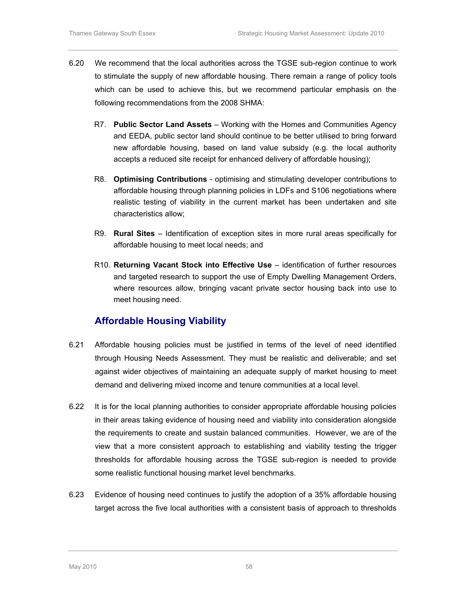- 6.20 We recommend that the local authorities across the TGSE sub-region continue to work to stimulate the supply of new affordable housing. There remain a range of policy tools which can be used to achieve this, but we recommend particular emphasis on the following recommendations from the 2008 SHMA:
	- R7. Public Sector Land Assets Working with the Homes and Communities Agency and EEDA, public sector land should continue to be better utilised to bring forward new affordable housing, based on land value subsidy (e.g. the local authority accepts a reduced site receipt for enhanced delivery of affordable housing);
	- R8. Optimising Contributions optimising and stimulating developer contributions to affordable housing through planning policies in LDFs and S106 negotiations where realistic testing of viability in the current market has been undertaken and site characteristics allow;
	- R9. Rural Sites Identification of exception sites in more rural areas specifically for affordable housing to meet local needs; and
	- R10. Returning Vacant Stock into Effective Use identification of further resources and targeted research to support the use of Empty Dwelling Management Orders, where resources allow, bringing vacant private sector housing back into use to meet housing need.

### Affordable Housing Viability

- 6.21 Affordable housing policies must be justified in terms of the level of need identified through Housing Needs Assessment. They must be realistic and deliverable; and set against wider objectives of maintaining an adequate supply of market housing to meet demand and delivering mixed income and tenure communities at a local level.
- 6.22 It is for the local planning authorities to consider appropriate affordable housing policies in their areas taking evidence of housing need and viability into consideration alongside the requirements to create and sustain balanced communities. However, we are of the view that a more consistent approach to establishing and viability testing the trigger thresholds for affordable housing across the TGSE sub-region is needed to provide some realistic functional housing market level benchmarks.
- 6.23 Evidence of housing need continues to justify the adoption of a 35% affordable housing target across the five local authorities with a consistent basis of approach to thresholds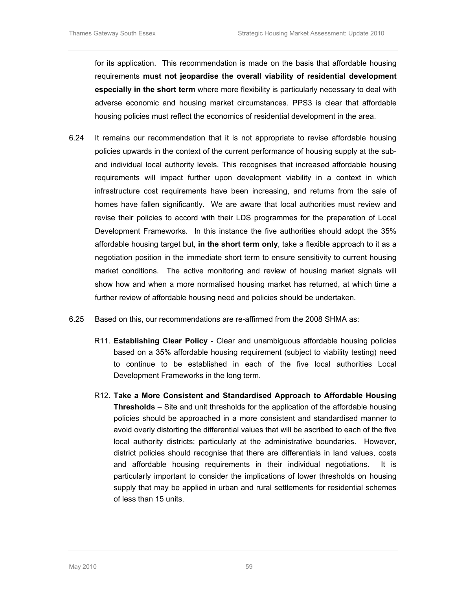for its application. This recommendation is made on the basis that affordable housing requirements must not jeopardise the overall viability of residential development especially in the short term where more flexibility is particularly necessary to deal with adverse economic and housing market circumstances. PPS3 is clear that affordable housing policies must reflect the economics of residential development in the area.

- 6.24 It remains our recommendation that it is not appropriate to revise affordable housing policies upwards in the context of the current performance of housing supply at the suband individual local authority levels. This recognises that increased affordable housing requirements will impact further upon development viability in a context in which infrastructure cost requirements have been increasing, and returns from the sale of homes have fallen significantly. We are aware that local authorities must review and revise their policies to accord with their LDS programmes for the preparation of Local Development Frameworks. In this instance the five authorities should adopt the 35% affordable housing target but, in the short term only, take a flexible approach to it as a negotiation position in the immediate short term to ensure sensitivity to current housing market conditions. The active monitoring and review of housing market signals will show how and when a more normalised housing market has returned, at which time a further review of affordable housing need and policies should be undertaken.
- 6.25 Based on this, our recommendations are re-affirmed from the 2008 SHMA as:
	- R11. Establishing Clear Policy Clear and unambiguous affordable housing policies based on a 35% affordable housing requirement (subject to viability testing) need to continue to be established in each of the five local authorities Local Development Frameworks in the long term.
	- R12. Take a More Consistent and Standardised Approach to Affordable Housing Thresholds – Site and unit thresholds for the application of the affordable housing policies should be approached in a more consistent and standardised manner to avoid overly distorting the differential values that will be ascribed to each of the five local authority districts; particularly at the administrative boundaries. However, district policies should recognise that there are differentials in land values, costs and affordable housing requirements in their individual negotiations. It is particularly important to consider the implications of lower thresholds on housing supply that may be applied in urban and rural settlements for residential schemes of less than 15 units.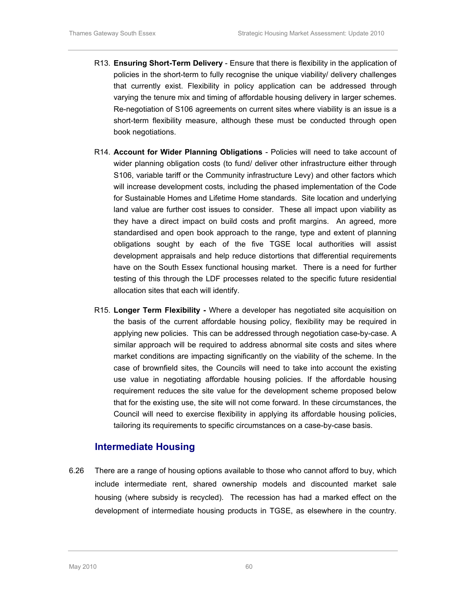- R13. Ensuring Short-Term Delivery Ensure that there is flexibility in the application of policies in the short-term to fully recognise the unique viability/ delivery challenges that currently exist. Flexibility in policy application can be addressed through varying the tenure mix and timing of affordable housing delivery in larger schemes. Re-negotiation of S106 agreements on current sites where viability is an issue is a short-term flexibility measure, although these must be conducted through open book negotiations.
- R14. Account for Wider Planning Obligations Policies will need to take account of wider planning obligation costs (to fund/ deliver other infrastructure either through S106, variable tariff or the Community infrastructure Levy) and other factors which will increase development costs, including the phased implementation of the Code for Sustainable Homes and Lifetime Home standards. Site location and underlying land value are further cost issues to consider. These all impact upon viability as they have a direct impact on build costs and profit margins. An agreed, more standardised and open book approach to the range, type and extent of planning obligations sought by each of the five TGSE local authorities will assist development appraisals and help reduce distortions that differential requirements have on the South Essex functional housing market. There is a need for further testing of this through the LDF processes related to the specific future residential allocation sites that each will identify.
- R15. Longer Term Flexibility Where a developer has negotiated site acquisition on the basis of the current affordable housing policy, flexibility may be required in applying new policies. This can be addressed through negotiation case-by-case. A similar approach will be required to address abnormal site costs and sites where market conditions are impacting significantly on the viability of the scheme. In the case of brownfield sites, the Councils will need to take into account the existing use value in negotiating affordable housing policies. If the affordable housing requirement reduces the site value for the development scheme proposed below that for the existing use, the site will not come forward. In these circumstances, the Council will need to exercise flexibility in applying its affordable housing policies, tailoring its requirements to specific circumstances on a case-by-case basis.

#### Intermediate Housing

6.26 There are a range of housing options available to those who cannot afford to buy, which include intermediate rent, shared ownership models and discounted market sale housing (where subsidy is recycled). The recession has had a marked effect on the development of intermediate housing products in TGSE, as elsewhere in the country.